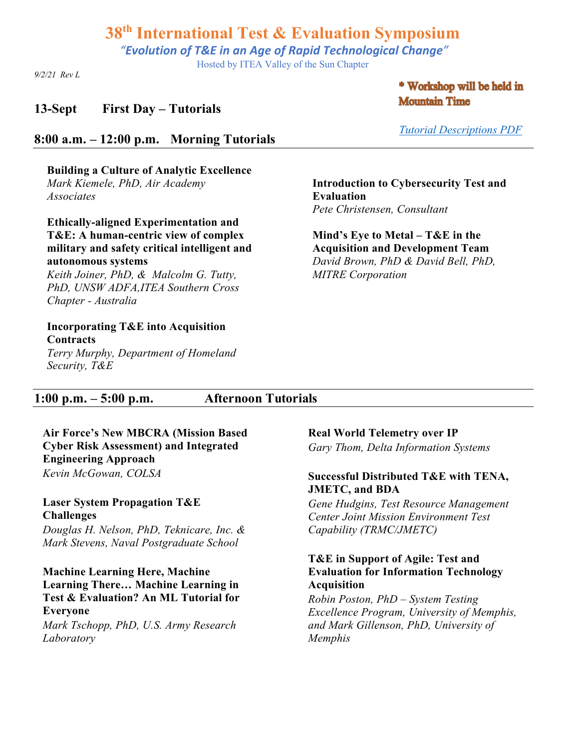*"Evolution of T&E in an Age of Rapid Technological Change"*

Hosted by ITEA Valley of the Sun Chapter

*9/2/21 Rev L*

### **13-Sept First Day – Tutorials**

**8:00 a.m. – 12:00 p.m. Morning Tutorials** 

**Building a Culture of Analytic Excellence** *Mark Kiemele, PhD, Air Academy Associates* 

**Ethically-aligned Experimentation and T&E: A human-centric view of complex military and safety critical intelligent and autonomous systems**

*Keith Joiner, PhD, & Malcolm G. Tutty, PhD, UNSW ADFA,ITEA Southern Cross Chapter - Australia*

#### **Incorporating T&E into Acquisition Contracts**

*Terry Murphy, Department of Homeland Security, T&E*

\* Workshop will be held in **Mountain Time** 

*Tutorial Descriptions PDF*

**Introduction to Cybersecurity Test and Evaluation**  *Pete Christensen, Consultant*

**Mind's Eye to Metal – T&E in the Acquisition and Development Team** *David Brown, PhD & David Bell, PhD, MITRE Corporation*

# **1:00 p.m. – 5:00 p.m. Afternoon Tutorials**

**Air Force's New MBCRA (Mission Based Cyber Risk Assessment) and Integrated Engineering Approach** *Kevin McGowan, COLSA*

**Laser System Propagation T&E Challenges** *Douglas H. Nelson, PhD, Teknicare, Inc. & Mark Stevens, Naval Postgraduate School*

**Machine Learning Here, Machine Learning There… Machine Learning in Test & Evaluation? An ML Tutorial for Everyone** *Mark Tschopp, PhD, U.S. Army Research Laboratory*

**Real World Telemetry over IP**

*Gary Thom, Delta Information Systems*

#### **Successful Distributed T&E with TENA, JMETC, and BDA**

*Gene Hudgins, Test Resource Management Center Joint Mission Environment Test Capability (TRMC/JMETC)*

#### **T&E in Support of Agile: Test and Evaluation for Information Technology Acquisition**

*Robin Poston, PhD – System Testing Excellence Program, University of Memphis, and Mark Gillenson, PhD, University of Memphis*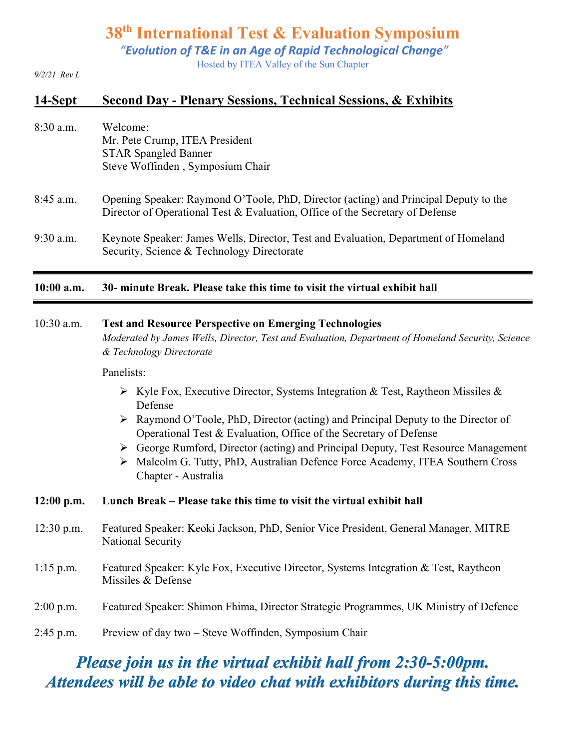*"Evolution of T&E in an Age of Rapid Technological Change"*

Hosted by ITEA Valley of the Sun Chapter

*9/2/21 Rev L*

# **14-Sept Second Day - Plenary Sessions, Technical Sessions, & Exhibits**

| $8:30$ a.m. | Welcome:                         |
|-------------|----------------------------------|
|             | Mr. Pete Crump, ITEA President   |
|             | <b>STAR Spangled Banner</b>      |
|             | Steve Woffinden, Symposium Chair |
|             |                                  |

- 8:45 a.m. Opening Speaker: Raymond O'Toole, PhD, Director (acting) and Principal Deputy to the Director of Operational Test & Evaluation, Office of the Secretary of Defense
- 9:30 a.m. Keynote Speaker: James Wells, Director, Test and Evaluation, Department of Homeland Security, Science & Technology Directorate

#### **10:00 a.m. 30- minute Break. Please take this time to visit the virtual exhibit hall**

#### 10:30 a.m. **Test and Resource Perspective on Emerging Technologies**

*Moderated by James Wells, Director, Test and Evaluation, Department of Homeland Security, Science & Technology Directorate*

#### Panelists:

- $\triangleright$  Kyle Fox, Executive Director, Systems Integration & Test, Raytheon Missiles & Defense
- $\triangleright$  Raymond O'Toole, PhD, Director (acting) and Principal Deputy to the Director of Operational Test & Evaluation, Office of the Secretary of Defense
- Ø George Rumford, Director (acting) and Principal Deputy, Test Resource Management
- Ø Malcolm G. Tutty, PhD, Australian Defence Force Academy, ITEA Southern Cross Chapter - Australia

#### **12:00 p.m. Lunch Break – Please take this time to visit the virtual exhibit hall**

- 12:30 p.m. Featured Speaker: Keoki Jackson, PhD, Senior Vice President, General Manager, MITRE National Security
- 1:15 p.m. Featured Speaker: Kyle Fox, Executive Director, Systems Integration & Test, Raytheon Missiles & Defense
- 2:00 p.m. Featured Speaker: Shimon Fhima, Director Strategic Programmes, UK Ministry of Defence
- 2:45 p.m. Preview of day two Steve Woffinden, Symposium Chair

# *Please join us in the virtual exhibit hall from 2:30-5:00pm. Attendees will be able to video chat with exhibitors during this time.*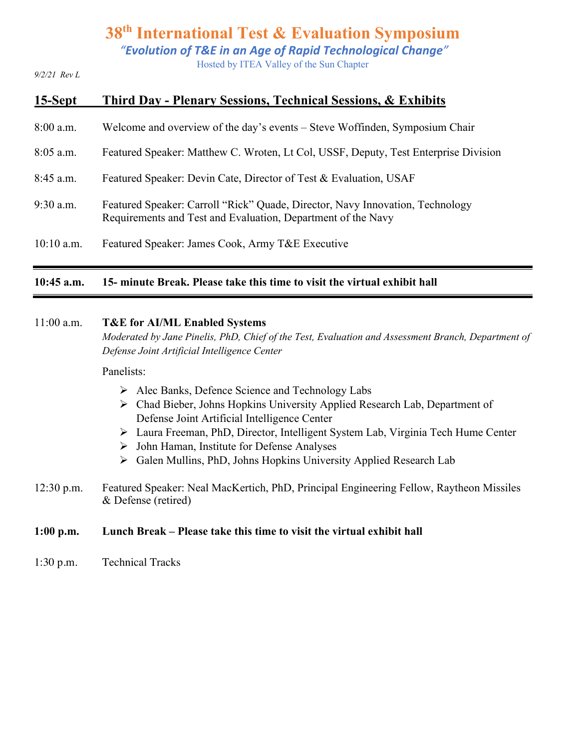*"Evolution of T&E in an Age of Rapid Technological Change"*

Hosted by ITEA Valley of the Sun Chapter

*9/2/21 Rev L*

| 15-Sept      | Third Day - Plenary Sessions, Technical Sessions, & Exhibits                                                                                  |
|--------------|-----------------------------------------------------------------------------------------------------------------------------------------------|
| $8:00$ a.m.  | Welcome and overview of the day's events – Steve Woffinden, Symposium Chair                                                                   |
| $8:05$ a.m.  | Featured Speaker: Matthew C. Wroten, Lt Col, USSF, Deputy, Test Enterprise Division                                                           |
| $8:45$ a.m.  | Featured Speaker: Devin Cate, Director of Test & Evaluation, USAF                                                                             |
| $9:30$ a.m.  | Featured Speaker: Carroll "Rick" Quade, Director, Navy Innovation, Technology<br>Requirements and Test and Evaluation, Department of the Navy |
| $10:10$ a.m. | Featured Speaker: James Cook, Army T&E Executive                                                                                              |

#### **10:45 a.m. 15- minute Break. Please take this time to visit the virtual exhibit hall**

#### 11:00 a.m. **T&E for AI/ML Enabled Systems**

*Moderated by Jane Pinelis, PhD, Chief of the Test, Evaluation and Assessment Branch, Department of Defense Joint Artificial Intelligence Center*

#### Panelists:

- $\triangleright$  Alec Banks, Defence Science and Technology Labs
- Ø Chad Bieber, Johns Hopkins University Applied Research Lab, Department of Defense Joint Artificial Intelligence Center
- Ø Laura Freeman, PhD, Director, Intelligent System Lab, Virginia Tech Hume Center
- Ø John Haman, Institute for Defense Analyses
- Ø Galen Mullins, PhD, Johns Hopkins University Applied Research Lab
- 12:30 p.m. Featured Speaker: Neal MacKertich, PhD, Principal Engineering Fellow, Raytheon Missiles & Defense (retired)

#### **1:00 p.m. Lunch Break – Please take this time to visit the virtual exhibit hall**

1:30 p.m. Technical Tracks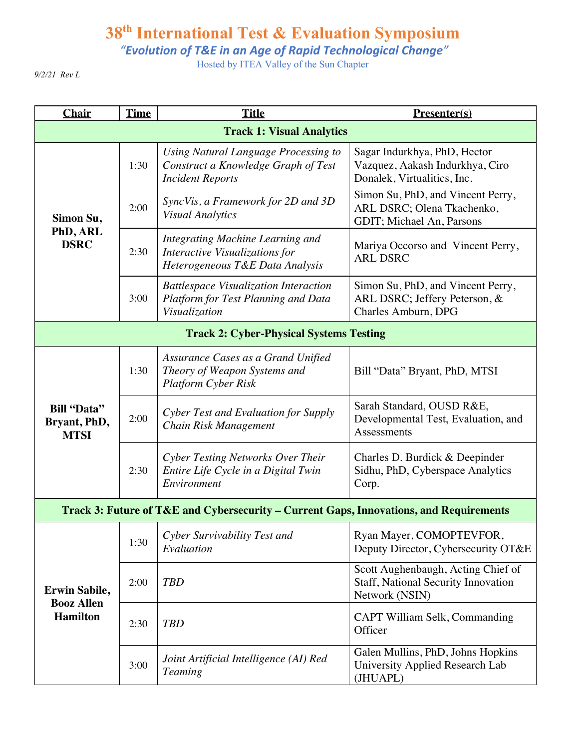*"Evolution of T&E in an Age of Rapid Technological Change"*

Hosted by ITEA Valley of the Sun Chapter

*9/2/21 Rev L*

| <b>Chair</b>                                                 | <b>Time</b> | <b>Title</b><br>Presenter(s)                                                                           |                                                                                                |
|--------------------------------------------------------------|-------------|--------------------------------------------------------------------------------------------------------|------------------------------------------------------------------------------------------------|
| <b>Track 1: Visual Analytics</b>                             |             |                                                                                                        |                                                                                                |
| Simon Su,<br>PhD, ARL<br><b>DSRC</b>                         | 1:30        | Using Natural Language Processing to<br>Construct a Knowledge Graph of Test<br><b>Incident Reports</b> | Sagar Indurkhya, PhD, Hector<br>Vazquez, Aakash Indurkhya, Ciro<br>Donalek, Virtualitics, Inc. |
|                                                              | 2:00        | SyncVis, a Framework for 2D and 3D<br><b>Visual Analytics</b>                                          | Simon Su, PhD, and Vincent Perry,<br>ARL DSRC; Olena Tkachenko,<br>GDIT; Michael An, Parsons   |
|                                                              | 2:30        | Integrating Machine Learning and<br>Interactive Visualizations for<br>Heterogeneous T&E Data Analysis  | Mariya Occorso and Vincent Perry,<br><b>ARL DSRC</b>                                           |
|                                                              | 3:00        | <b>Battlespace Visualization Interaction</b><br>Platform for Test Planning and Data<br>Visualization   | Simon Su, PhD, and Vincent Perry,<br>ARL DSRC; Jeffery Peterson, &<br>Charles Amburn, DPG      |
| <b>Track 2: Cyber-Physical Systems Testing</b>               |             |                                                                                                        |                                                                                                |
| <b>Bill "Data"</b><br>Bryant, PhD,<br><b>MTSI</b>            | 1:30        | Assurance Cases as a Grand Unified<br>Theory of Weapon Systems and<br><b>Platform Cyber Risk</b>       | Bill "Data" Bryant, PhD, MTSI                                                                  |
|                                                              | 2:00        | Cyber Test and Evaluation for Supply<br>Chain Risk Management                                          | Sarah Standard, OUSD R&E,<br>Developmental Test, Evaluation, and<br>Assessments                |
|                                                              | 2:30        | Cyber Testing Networks Over Their<br>Entire Life Cycle in a Digital Twin<br>Environment                | Charles D. Burdick & Deepinder<br>Sidhu, PhD, Cyberspace Analytics<br>Corp.                    |
|                                                              |             | Track 3: Future of T&E and Cybersecurity – Current Gaps, Innovations, and Requirements                 |                                                                                                |
| <b>Erwin Sabile,</b><br><b>Booz Allen</b><br><b>Hamilton</b> | 1:30        | Cyber Survivability Test and<br>Evaluation                                                             | Ryan Mayer, COMOPTEVFOR,<br>Deputy Director, Cybersecurity OT&E                                |
|                                                              | 2:00        | <b>TBD</b>                                                                                             | Scott Aughenbaugh, Acting Chief of<br>Staff, National Security Innovation<br>Network (NSIN)    |
|                                                              | 2:30        | <b>TBD</b>                                                                                             | CAPT William Selk, Commanding<br>Officer                                                       |
|                                                              | 3:00        | Joint Artificial Intelligence (AI) Red<br><b>Teaming</b>                                               | Galen Mullins, PhD, Johns Hopkins<br>University Applied Research Lab<br>(JHUAPL)               |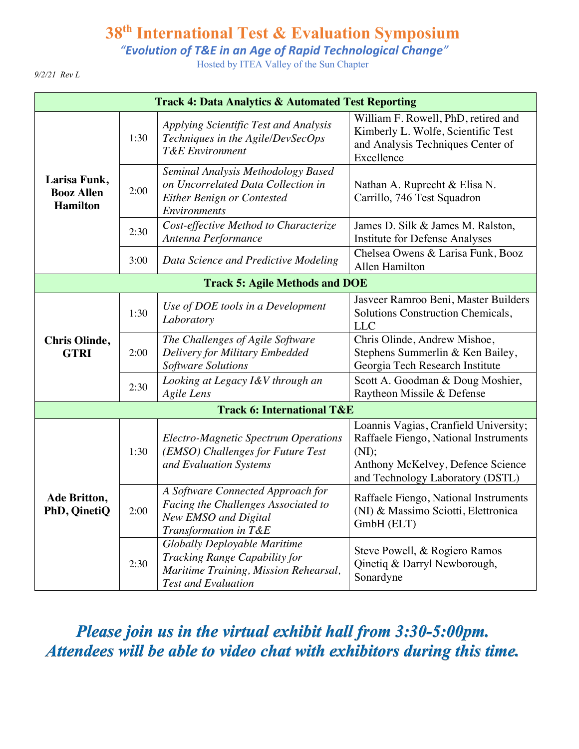*"Evolution of T&E in an Age of Rapid Technological Change"*

Hosted by ITEA Valley of the Sun Chapter

*9/2/21 Rev L*

| <b>Track 4: Data Analytics &amp; Automated Test Reporting</b> |      |                                                                                                                                             |                                                                                                                                                                  |
|---------------------------------------------------------------|------|---------------------------------------------------------------------------------------------------------------------------------------------|------------------------------------------------------------------------------------------------------------------------------------------------------------------|
| Larisa Funk,<br><b>Booz Allen</b><br><b>Hamilton</b>          | 1:30 | Applying Scientific Test and Analysis<br>Techniques in the Agile/DevSecOps<br><b>T&amp;E</b> Environment                                    | William F. Rowell, PhD, retired and<br>Kimberly L. Wolfe, Scientific Test<br>and Analysis Techniques Center of<br>Excellence                                     |
|                                                               | 2:00 | Seminal Analysis Methodology Based<br>on Uncorrelated Data Collection in<br>Either Benign or Contested<br><b>Environments</b>               | Nathan A. Ruprecht & Elisa N.<br>Carrillo, 746 Test Squadron                                                                                                     |
|                                                               | 2:30 | Cost-effective Method to Characterize<br>Antenna Performance                                                                                | James D. Silk & James M. Ralston,<br>Institute for Defense Analyses                                                                                              |
|                                                               | 3:00 | Data Science and Predictive Modeling                                                                                                        | Chelsea Owens & Larisa Funk, Booz<br>Allen Hamilton                                                                                                              |
| <b>Track 5: Agile Methods and DOE</b>                         |      |                                                                                                                                             |                                                                                                                                                                  |
|                                                               | 1:30 | Use of DOE tools in a Development<br>Laboratory                                                                                             | Jasveer Ramroo Beni, Master Builders<br>Solutions Construction Chemicals,<br><b>LLC</b>                                                                          |
| <b>Chris Olinde,</b><br><b>GTRI</b>                           | 2:00 | The Challenges of Agile Software<br>Delivery for Military Embedded<br>Software Solutions                                                    | Chris Olinde, Andrew Mishoe,<br>Stephens Summerlin & Ken Bailey,<br>Georgia Tech Research Institute                                                              |
|                                                               | 2:30 | Looking at Legacy I&V through an<br>Agile Lens                                                                                              | Scott A. Goodman & Doug Moshier,<br>Raytheon Missile & Defense                                                                                                   |
|                                                               |      | <b>Track 6: International T&amp;E</b>                                                                                                       |                                                                                                                                                                  |
|                                                               | 1:30 | <b>Electro-Magnetic Spectrum Operations</b><br>(EMSO) Challenges for Future Test<br>and Evaluation Systems                                  | Loannis Vagias, Cranfield University;<br>Raffaele Fiengo, National Instruments<br>(NI);<br>Anthony McKelvey, Defence Science<br>and Technology Laboratory (DSTL) |
| Ade Britton,<br>PhD, QinetiQ                                  | 2:00 | A Software Connected Approach for<br>Facing the Challenges Associated to<br>New EMSO and Digital<br>Transformation in T&E                   | Raffaele Fiengo, National Instruments<br>(NI) & Massimo Sciotti, Elettronica<br>GmbH (ELT)                                                                       |
|                                                               | 2:30 | <b>Globally Deployable Maritime</b><br>Tracking Range Capability for<br>Maritime Training, Mission Rehearsal,<br><b>Test and Evaluation</b> | Steve Powell, & Rogiero Ramos<br>Qinetiq & Darryl Newborough,<br>Sonardyne                                                                                       |

*Please join us in the virtual exhibit hall from 3:30-5:00pm. Attendees will be able to video chat with exhibitors during this time.*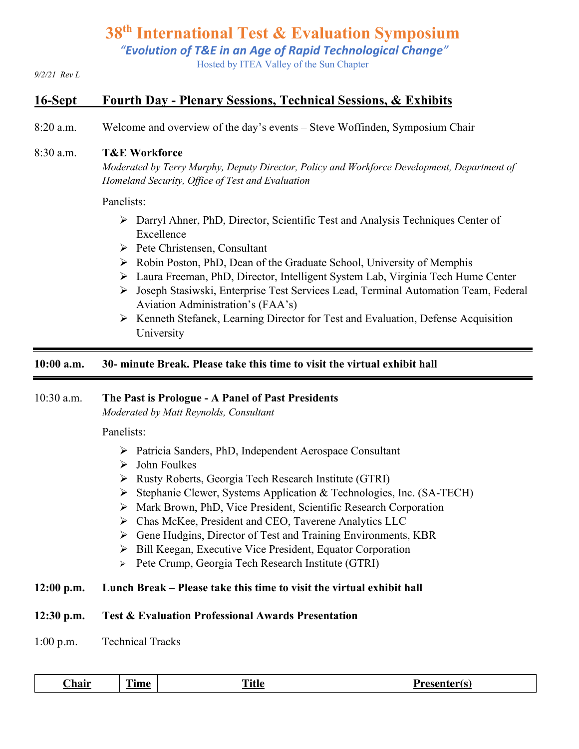*"Evolution of T&E in an Age of Rapid Technological Change"*

Hosted by ITEA Valley of the Sun Chapter

#### *9/2/21 Rev L*

### **16-Sept Fourth Day - Plenary Sessions, Technical Sessions, & Exhibits**

8:20 a.m. Welcome and overview of the day's events – Steve Woffinden, Symposium Chair

#### 8:30 a.m. **T&E Workforce**

*Moderated by Terry Murphy, Deputy Director, Policy and Workforce Development, Department of Homeland Security, Office of Test and Evaluation*

#### Panelists:

- $\triangleright$  Darryl Ahner, PhD, Director, Scientific Test and Analysis Techniques Center of Excellence
- Ø Pete Christensen, Consultant
- Ø Robin Poston, PhD, Dean of the Graduate School, University of Memphis
- Ø Laura Freeman, PhD, Director, Intelligent System Lab, Virginia Tech Hume Center
- Ø Joseph Stasiwski, Enterprise Test Services Lead, Terminal Automation Team, Federal Aviation Administration's (FAA's)
- Ø Kenneth Stefanek, Learning Director for Test and Evaluation, Defense Acquisition University

#### **10:00 a.m. 30- minute Break. Please take this time to visit the virtual exhibit hall**

#### 10:30 a.m. **The Past is Prologue - A Panel of Past Presidents**

*Moderated by Matt Reynolds, Consultant*

Panelists:

- Ø Patricia Sanders, PhD, Independent Aerospace Consultant
- $\triangleright$  John Foulkes
- Ø Rusty Roberts, Georgia Tech Research Institute (GTRI)
- Ø Stephanie Clewer, Systems Application & Technologies, Inc. (SA-TECH)
- Ø Mark Brown, PhD, Vice President, Scientific Research Corporation
- Ø Chas McKee, President and CEO, Taverene Analytics LLC
- Ø Gene Hudgins, Director of Test and Training Environments, KBR
- Ø Bill Keegan, Executive Vice President, Equator Corporation
- Ø Pete Crump, Georgia Tech Research Institute (GTRI)

#### **12:00 p.m. Lunch Break – Please take this time to visit the virtual exhibit hall**

#### **12:30 p.m. Test & Evaluation Professional Awards Presentation**

1:00 p.m. Technical Tracks

| ~·<br>hair <sub>-</sub> | --<br>l ıme | m.<br><u> 1 146</u> | Dr.<br>'acantarí c<br>. I D J<br><b>CNCHLET</b> |
|-------------------------|-------------|---------------------|-------------------------------------------------|
|-------------------------|-------------|---------------------|-------------------------------------------------|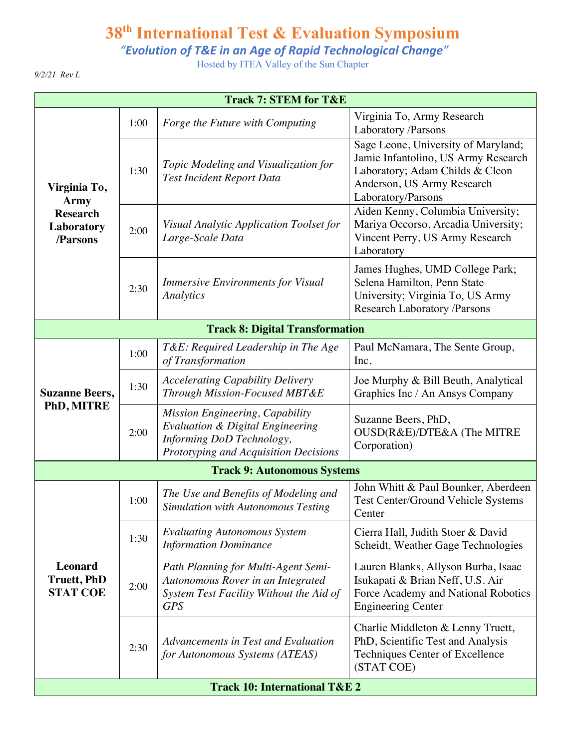*"Evolution of T&E in an Age of Rapid Technological Change"*

Hosted by ITEA Valley of the Sun Chapter

*9/2/21 Rev L*

| <b>Track 7: STEM for T&amp;E</b>                                         |      |                                                                                                                                                      |                                                                                                                                                                   |  |
|--------------------------------------------------------------------------|------|------------------------------------------------------------------------------------------------------------------------------------------------------|-------------------------------------------------------------------------------------------------------------------------------------------------------------------|--|
| Virginia To,<br><b>Army</b><br><b>Research</b><br>Laboratory<br>/Parsons | 1:00 | Forge the Future with Computing                                                                                                                      | Virginia To, Army Research<br>Laboratory /Parsons                                                                                                                 |  |
|                                                                          | 1:30 | Topic Modeling and Visualization for<br><b>Test Incident Report Data</b>                                                                             | Sage Leone, University of Maryland;<br>Jamie Infantolino, US Army Research<br>Laboratory; Adam Childs & Cleon<br>Anderson, US Army Research<br>Laboratory/Parsons |  |
|                                                                          | 2:00 | Visual Analytic Application Toolset for<br>Large-Scale Data                                                                                          | Aiden Kenny, Columbia University;<br>Mariya Occorso, Arcadia University;<br>Vincent Perry, US Army Research<br>Laboratory                                         |  |
|                                                                          | 2:30 | <b>Immersive Environments for Visual</b><br>Analytics                                                                                                | James Hughes, UMD College Park;<br>Selena Hamilton, Penn State<br>University; Virginia To, US Army<br><b>Research Laboratory /Parsons</b>                         |  |
| <b>Track 8: Digital Transformation</b>                                   |      |                                                                                                                                                      |                                                                                                                                                                   |  |
| <b>Suzanne Beers,</b><br>PhD, MITRE                                      | 1:00 | T&E: Required Leadership in The Age<br>of Transformation                                                                                             | Paul McNamara, The Sente Group,<br>Inc.                                                                                                                           |  |
|                                                                          | 1:30 | <b>Accelerating Capability Delivery</b><br>Through Mission-Focused MBT&E                                                                             | Joe Murphy & Bill Beuth, Analytical<br>Graphics Inc / An Ansys Company                                                                                            |  |
|                                                                          | 2:00 | Mission Engineering, Capability<br><b>Evaluation &amp; Digital Engineering</b><br>Informing DoD Technology,<br>Prototyping and Acquisition Decisions | Suzanne Beers, PhD,<br>OUSD(R&E)/DTE&A (The MITRE<br>Corporation)                                                                                                 |  |
| <b>Track 9: Autonomous Systems</b>                                       |      |                                                                                                                                                      |                                                                                                                                                                   |  |
| <b>Leonard</b><br><b>Truett, PhD</b><br><b>STAT COE</b>                  | 1:00 | The Use and Benefits of Modeling and<br>Simulation with Autonomous Testing                                                                           | John Whitt & Paul Bounker, Aberdeen<br>Test Center/Ground Vehicle Systems<br>Center                                                                               |  |
|                                                                          | 1:30 | <b>Evaluating Autonomous System</b><br><b>Information Dominance</b>                                                                                  | Cierra Hall, Judith Stoer & David<br>Scheidt, Weather Gage Technologies                                                                                           |  |
|                                                                          | 2:00 | Path Planning for Multi-Agent Semi-<br>Autonomous Rover in an Integrated<br>System Test Facility Without the Aid of<br><b>GPS</b>                    | Lauren Blanks, Allyson Burba, Isaac<br>Isukapati & Brian Neff, U.S. Air<br>Force Academy and National Robotics<br><b>Engineering Center</b>                       |  |
|                                                                          | 2:30 | Advancements in Test and Evaluation<br>for Autonomous Systems (ATEAS)                                                                                | Charlie Middleton & Lenny Truett,<br>PhD, Scientific Test and Analysis<br>Techniques Center of Excellence<br>(STAT COE)                                           |  |
| <b>Track 10: International T&amp;E 2</b>                                 |      |                                                                                                                                                      |                                                                                                                                                                   |  |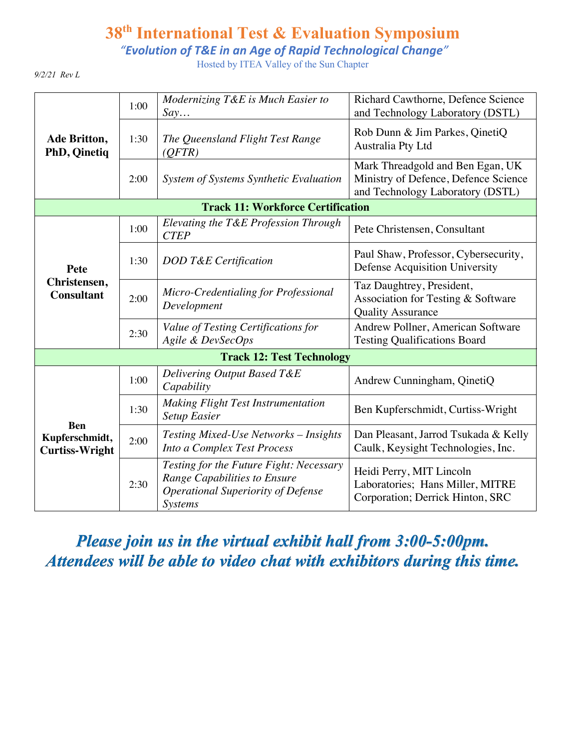*"Evolution of T&E in an Age of Rapid Technological Change"*

Hosted by ITEA Valley of the Sun Chapter

*9/2/21 Rev L*

| Ade Britton,<br><b>PhD, Qinetiq</b>                   | 1:00 | Modernizing T&E is Much Easier to<br>Say                                                                                               | Richard Cawthorne, Defence Science<br>and Technology Laboratory (DSTL)                                       |  |
|-------------------------------------------------------|------|----------------------------------------------------------------------------------------------------------------------------------------|--------------------------------------------------------------------------------------------------------------|--|
|                                                       | 1:30 | The Queensland Flight Test Range<br>(QFTR)                                                                                             | Rob Dunn & Jim Parkes, QinetiQ<br>Australia Pty Ltd                                                          |  |
|                                                       | 2:00 | System of Systems Synthetic Evaluation                                                                                                 | Mark Threadgold and Ben Egan, UK<br>Ministry of Defence, Defence Science<br>and Technology Laboratory (DSTL) |  |
| <b>Track 11: Workforce Certification</b>              |      |                                                                                                                                        |                                                                                                              |  |
| Pete<br>Christensen,<br><b>Consultant</b>             | 1:00 | Elevating the T&E Profession Through<br><b>CTEP</b>                                                                                    | Pete Christensen, Consultant                                                                                 |  |
|                                                       | 1:30 | DOD T&E Certification                                                                                                                  | Paul Shaw, Professor, Cybersecurity,<br>Defense Acquisition University                                       |  |
|                                                       | 2:00 | Micro-Credentialing for Professional<br>Development                                                                                    | Taz Daughtrey, President,<br>Association for Testing & Software<br><b>Quality Assurance</b>                  |  |
|                                                       | 2:30 | Value of Testing Certifications for<br>Agile & DevSecOps                                                                               | Andrew Pollner, American Software<br><b>Testing Qualifications Board</b>                                     |  |
| <b>Track 12: Test Technology</b>                      |      |                                                                                                                                        |                                                                                                              |  |
| <b>Ben</b><br>Kupferschmidt,<br><b>Curtiss-Wright</b> | 1:00 | Delivering Output Based T&E<br>Capability                                                                                              | Andrew Cunningham, QinetiQ                                                                                   |  |
|                                                       | 1:30 | <b>Making Flight Test Instrumentation</b><br><b>Setup Easier</b>                                                                       | Ben Kupferschmidt, Curtiss-Wright                                                                            |  |
|                                                       | 2:00 | <b>Testing Mixed-Use Networks – Insights</b><br>Into a Complex Test Process                                                            | Dan Pleasant, Jarrod Tsukada & Kelly<br>Caulk, Keysight Technologies, Inc.                                   |  |
|                                                       | 2:30 | Testing for the Future Fight: Necessary<br>Range Capabilities to Ensure<br><b>Operational Superiority of Defense</b><br><b>Systems</b> | Heidi Perry, MIT Lincoln<br>Laboratories; Hans Miller, MITRE<br>Corporation; Derrick Hinton, SRC             |  |

*Please join us in the virtual exhibit hall from 3:00-5:00pm. Attendees will be able to video chat with exhibitors during this time.*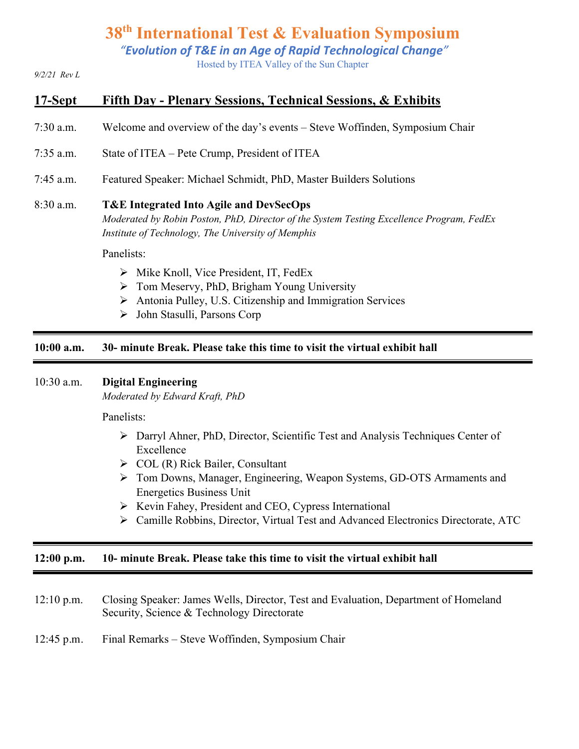*"Evolution of T&E in an Age of Rapid Technological Change"*

Hosted by ITEA Valley of the Sun Chapter

*9/2/21 Rev L*

# **17-Sept Fifth Day - Plenary Sessions, Technical Sessions, & Exhibits**

- 7:30 a.m. Welcome and overview of the day's events Steve Woffinden, Symposium Chair
- 7:35 a.m. State of ITEA Pete Crump, President of ITEA
- 7:45 a.m. Featured Speaker: Michael Schmidt, PhD, Master Builders Solutions

#### 8:30 a.m. **T&E Integrated Into Agile and DevSecOps**

*Moderated by Robin Poston, PhD, Director of the System Testing Excellence Program, FedEx Institute of Technology, The University of Memphis*

Panelists:

- $\triangleright$  Mike Knoll, Vice President, IT, FedEx
- $\triangleright$  Tom Meservy, PhD, Brigham Young University
- $\triangleright$  Antonia Pulley, U.S. Citizenship and Immigration Services
- Ø John Stasulli, Parsons Corp

#### **10:00 a.m. 30- minute Break. Please take this time to visit the virtual exhibit hall**

#### 10:30 a.m. **Digital Engineering**

*Moderated by Edward Kraft, PhD*

Panelists:

- Ø Darryl Ahner, PhD, Director, Scientific Test and Analysis Techniques Center of Excellence
- $\triangleright$  COL (R) Rick Bailer, Consultant
- Ø Tom Downs, Manager, Engineering, Weapon Systems, GD-OTS Armaments and Energetics Business Unit
- Ø Kevin Fahey, President and CEO, Cypress International
- Ø Camille Robbins, Director, Virtual Test and Advanced Electronics Directorate, ATC

#### **12:00 p.m. 10- minute Break. Please take this time to visit the virtual exhibit hall**

- 12:10 p.m. Closing Speaker: James Wells, Director, Test and Evaluation, Department of Homeland Security, Science & Technology Directorate
- 12:45 p.m. Final Remarks Steve Woffinden, Symposium Chair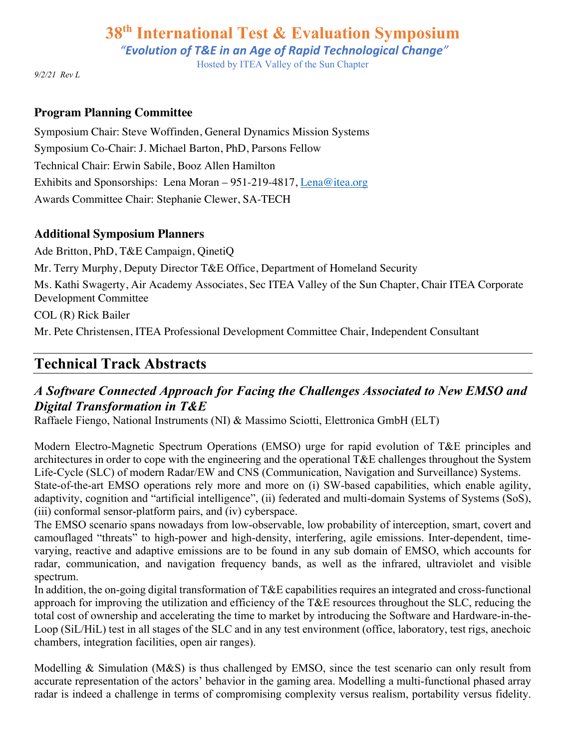*"Evolution of T&E in an Age of Rapid Technological Change"*

Hosted by ITEA Valley of the Sun Chapter

*9/2/21 Rev L*

#### **Program Planning Committee**

Symposium Chair: Steve Woffinden, General Dynamics Mission Systems Symposium Co-Chair: J. Michael Barton, PhD, Parsons Fellow Technical Chair: Erwin Sabile, Booz Allen Hamilton Exhibits and Sponsorships: Lena Moran – 951-219-4817, Lena@itea.org Awards Committee Chair: Stephanie Clewer, SA-TECH

#### **Additional Symposium Planners**

Ade Britton, PhD, T&E Campaign, QinetiQ Mr. Terry Murphy, Deputy Director T&E Office, Department of Homeland Security Ms. Kathi Swagerty, Air Academy Associates, Sec ITEA Valley of the Sun Chapter, Chair ITEA Corporate Development Committee COL (R) Rick Bailer

Mr. Pete Christensen, ITEA Professional Development Committee Chair, Independent Consultant

# **Technical Track Abstracts**

# *A Software Connected Approach for Facing the Challenges Associated to New EMSO and Digital Transformation in T&E*

Raffaele Fiengo, National Instruments (NI) & Massimo Sciotti, Elettronica GmbH (ELT)

Modern Electro-Magnetic Spectrum Operations (EMSO) urge for rapid evolution of T&E principles and architectures in order to cope with the engineering and the operational T&E challenges throughout the System Life-Cycle (SLC) of modern Radar/EW and CNS (Communication, Navigation and Surveillance) Systems. State-of-the-art EMSO operations rely more and more on (i) SW-based capabilities, which enable agility, adaptivity, cognition and "artificial intelligence", (ii) federated and multi-domain Systems of Systems (SoS), (iii) conformal sensor-platform pairs, and (iv) cyberspace.

The EMSO scenario spans nowadays from low-observable, low probability of interception, smart, covert and camouflaged "threats" to high-power and high-density, interfering, agile emissions. Inter-dependent, timevarying, reactive and adaptive emissions are to be found in any sub domain of EMSO, which accounts for radar, communication, and navigation frequency bands, as well as the infrared, ultraviolet and visible spectrum.

In addition, the on-going digital transformation of T&E capabilities requires an integrated and cross-functional approach for improving the utilization and efficiency of the T&E resources throughout the SLC, reducing the total cost of ownership and accelerating the time to market by introducing the Software and Hardware-in-the-Loop (SiL/HiL) test in all stages of the SLC and in any test environment (office, laboratory, test rigs, anechoic chambers, integration facilities, open air ranges).

Modelling & Simulation (M&S) is thus challenged by EMSO, since the test scenario can only result from accurate representation of the actors' behavior in the gaming area. Modelling a multi-functional phased array radar is indeed a challenge in terms of compromising complexity versus realism, portability versus fidelity.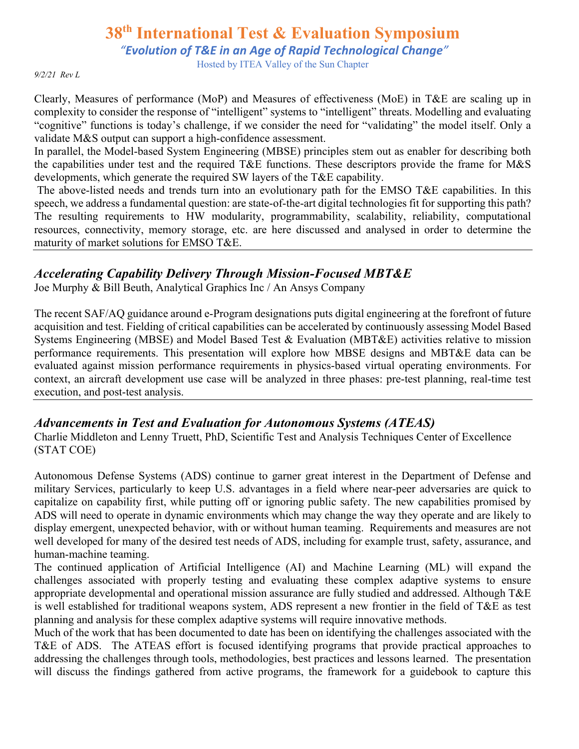*"Evolution of T&E in an Age of Rapid Technological Change"*

Hosted by ITEA Valley of the Sun Chapter

*9/2/21 Rev L*

Clearly, Measures of performance (MoP) and Measures of effectiveness (MoE) in T&E are scaling up in complexity to consider the response of "intelligent" systems to "intelligent" threats. Modelling and evaluating "cognitive" functions is today's challenge, if we consider the need for "validating" the model itself. Only a validate M&S output can support a high-confidence assessment.

In parallel, the Model-based System Engineering (MBSE) principles stem out as enabler for describing both the capabilities under test and the required T&E functions. These descriptors provide the frame for M&S developments, which generate the required SW layers of the T&E capability.

The above-listed needs and trends turn into an evolutionary path for the EMSO T&E capabilities. In this speech, we address a fundamental question: are state-of-the-art digital technologies fit for supporting this path? The resulting requirements to HW modularity, programmability, scalability, reliability, computational resources, connectivity, memory storage, etc. are here discussed and analysed in order to determine the maturity of market solutions for EMSO T&E.

### *Accelerating Capability Delivery Through Mission-Focused MBT&E*

Joe Murphy & Bill Beuth, Analytical Graphics Inc / An Ansys Company

The recent SAF/AQ guidance around e-Program designations puts digital engineering at the forefront of future acquisition and test. Fielding of critical capabilities can be accelerated by continuously assessing Model Based Systems Engineering (MBSE) and Model Based Test & Evaluation (MBT&E) activities relative to mission performance requirements. This presentation will explore how MBSE designs and MBT&E data can be evaluated against mission performance requirements in physics-based virtual operating environments. For context, an aircraft development use case will be analyzed in three phases: pre-test planning, real-time test execution, and post-test analysis.

# *Advancements in Test and Evaluation for Autonomous Systems (ATEAS)*

Charlie Middleton and Lenny Truett, PhD, Scientific Test and Analysis Techniques Center of Excellence (STAT COE)

Autonomous Defense Systems (ADS) continue to garner great interest in the Department of Defense and military Services, particularly to keep U.S. advantages in a field where near-peer adversaries are quick to capitalize on capability first, while putting off or ignoring public safety. The new capabilities promised by ADS will need to operate in dynamic environments which may change the way they operate and are likely to display emergent, unexpected behavior, with or without human teaming. Requirements and measures are not well developed for many of the desired test needs of ADS, including for example trust, safety, assurance, and human-machine teaming.

The continued application of Artificial Intelligence (AI) and Machine Learning (ML) will expand the challenges associated with properly testing and evaluating these complex adaptive systems to ensure appropriate developmental and operational mission assurance are fully studied and addressed. Although T&E is well established for traditional weapons system, ADS represent a new frontier in the field of T&E as test planning and analysis for these complex adaptive systems will require innovative methods.

Much of the work that has been documented to date has been on identifying the challenges associated with the T&E of ADS. The ATEAS effort is focused identifying programs that provide practical approaches to addressing the challenges through tools, methodologies, best practices and lessons learned. The presentation will discuss the findings gathered from active programs, the framework for a guidebook to capture this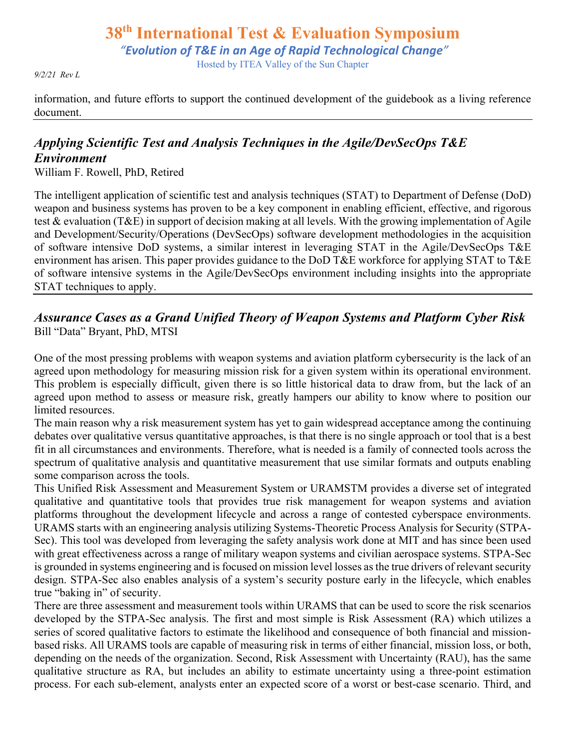# **38th International Test & Evaluation Symposium** *"Evolution of T&E in an Age of Rapid Technological Change"* Hosted by ITEA Valley of the Sun Chapter

*9/2/21 Rev L*

information, and future efforts to support the continued development of the guidebook as a living reference document.

# *Applying Scientific Test and Analysis Techniques in the Agile/DevSecOps T&E Environment*

William F. Rowell, PhD, Retired

The intelligent application of scientific test and analysis techniques (STAT) to Department of Defense (DoD) weapon and business systems has proven to be a key component in enabling efficient, effective, and rigorous test & evaluation (T&E) in support of decision making at all levels. With the growing implementation of Agile and Development/Security/Operations (DevSecOps) software development methodologies in the acquisition of software intensive DoD systems, a similar interest in leveraging STAT in the Agile/DevSecOps T&E environment has arisen. This paper provides guidance to the DoD T&E workforce for applying STAT to T&E of software intensive systems in the Agile/DevSecOps environment including insights into the appropriate STAT techniques to apply.

### *Assurance Cases as a Grand Unified Theory of Weapon Systems and Platform Cyber Risk* Bill "Data" Bryant, PhD, MTSI

One of the most pressing problems with weapon systems and aviation platform cybersecurity is the lack of an agreed upon methodology for measuring mission risk for a given system within its operational environment. This problem is especially difficult, given there is so little historical data to draw from, but the lack of an agreed upon method to assess or measure risk, greatly hampers our ability to know where to position our limited resources.

The main reason why a risk measurement system has yet to gain widespread acceptance among the continuing debates over qualitative versus quantitative approaches, is that there is no single approach or tool that is a best fit in all circumstances and environments. Therefore, what is needed is a family of connected tools across the spectrum of qualitative analysis and quantitative measurement that use similar formats and outputs enabling some comparison across the tools.

This Unified Risk Assessment and Measurement System or URAMSTM provides a diverse set of integrated qualitative and quantitative tools that provides true risk management for weapon systems and aviation platforms throughout the development lifecycle and across a range of contested cyberspace environments. URAMS starts with an engineering analysis utilizing Systems-Theoretic Process Analysis for Security (STPA-Sec). This tool was developed from leveraging the safety analysis work done at MIT and has since been used with great effectiveness across a range of military weapon systems and civilian aerospace systems. STPA-Sec is grounded in systems engineering and is focused on mission level losses as the true drivers of relevant security design. STPA-Sec also enables analysis of a system's security posture early in the lifecycle, which enables true "baking in" of security.

There are three assessment and measurement tools within URAMS that can be used to score the risk scenarios developed by the STPA-Sec analysis. The first and most simple is Risk Assessment (RA) which utilizes a series of scored qualitative factors to estimate the likelihood and consequence of both financial and missionbased risks. All URAMS tools are capable of measuring risk in terms of either financial, mission loss, or both, depending on the needs of the organization. Second, Risk Assessment with Uncertainty (RAU), has the same qualitative structure as RA, but includes an ability to estimate uncertainty using a three-point estimation process. For each sub-element, analysts enter an expected score of a worst or best-case scenario. Third, and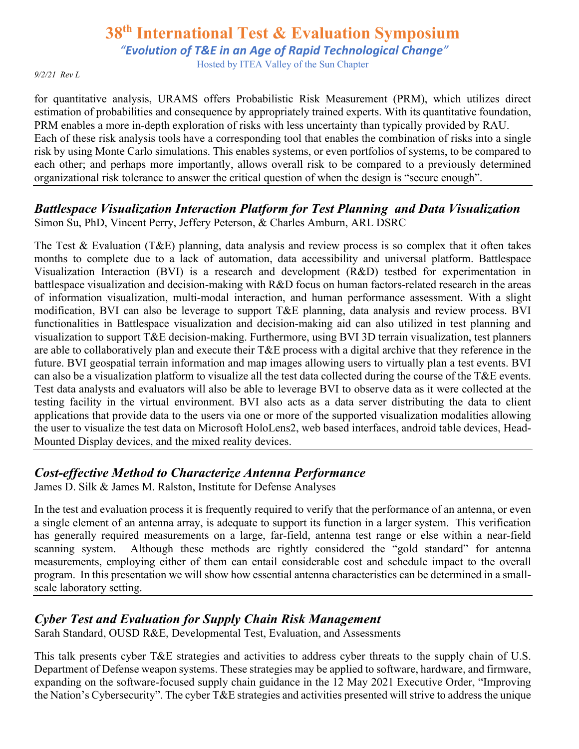*"Evolution of T&E in an Age of Rapid Technological Change"*

Hosted by ITEA Valley of the Sun Chapter

*9/2/21 Rev L*

for quantitative analysis, URAMS offers Probabilistic Risk Measurement (PRM), which utilizes direct estimation of probabilities and consequence by appropriately trained experts. With its quantitative foundation, PRM enables a more in-depth exploration of risks with less uncertainty than typically provided by RAU. Each of these risk analysis tools have a corresponding tool that enables the combination of risks into a single risk by using Monte Carlo simulations. This enables systems, or even portfolios of systems, to be compared to each other; and perhaps more importantly, allows overall risk to be compared to a previously determined organizational risk tolerance to answer the critical question of when the design is "secure enough".

### *Battlespace Visualization Interaction Platform for Test Planning and Data Visualization* Simon Su, PhD, Vincent Perry, Jeffery Peterson, & Charles Amburn, ARL DSRC

The Test & Evaluation (T&E) planning, data analysis and review process is so complex that it often takes months to complete due to a lack of automation, data accessibility and universal platform. Battlespace Visualization Interaction (BVI) is a research and development (R&D) testbed for experimentation in battlespace visualization and decision-making with R&D focus on human factors-related research in the areas of information visualization, multi-modal interaction, and human performance assessment. With a slight modification, BVI can also be leverage to support T&E planning, data analysis and review process. BVI functionalities in Battlespace visualization and decision-making aid can also utilized in test planning and visualization to support T&E decision-making. Furthermore, using BVI 3D terrain visualization, test planners are able to collaboratively plan and execute their T&E process with a digital archive that they reference in the future. BVI geospatial terrain information and map images allowing users to virtually plan a test events. BVI can also be a visualization platform to visualize all the test data collected during the course of the T&E events. Test data analysts and evaluators will also be able to leverage BVI to observe data as it were collected at the testing facility in the virtual environment. BVI also acts as a data server distributing the data to client applications that provide data to the users via one or more of the supported visualization modalities allowing the user to visualize the test data on Microsoft HoloLens2, web based interfaces, android table devices, Head-Mounted Display devices, and the mixed reality devices.

### *Cost-effective Method to Characterize Antenna Performance*

James D. Silk & James M. Ralston, Institute for Defense Analyses

In the test and evaluation process it is frequently required to verify that the performance of an antenna, or even a single element of an antenna array, is adequate to support its function in a larger system. This verification has generally required measurements on a large, far-field, antenna test range or else within a near-field scanning system. Although these methods are rightly considered the "gold standard" for antenna measurements, employing either of them can entail considerable cost and schedule impact to the overall program. In this presentation we will show how essential antenna characteristics can be determined in a smallscale laboratory setting.

# *Cyber Test and Evaluation for Supply Chain Risk Management*

Sarah Standard, OUSD R&E, Developmental Test, Evaluation, and Assessments

This talk presents cyber T&E strategies and activities to address cyber threats to the supply chain of U.S. Department of Defense weapon systems. These strategies may be applied to software, hardware, and firmware, expanding on the software-focused supply chain guidance in the 12 May 2021 Executive Order, "Improving the Nation's Cybersecurity". The cyber T&E strategies and activities presented will strive to address the unique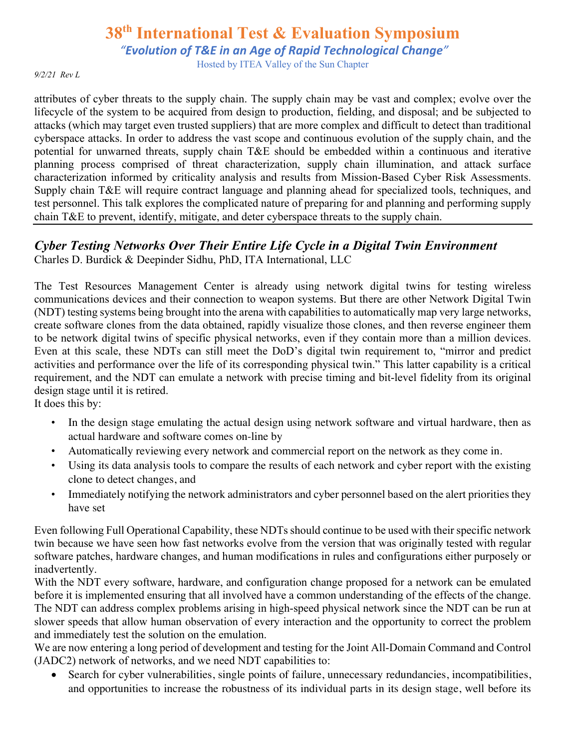*"Evolution of T&E in an Age of Rapid Technological Change"*

Hosted by ITEA Valley of the Sun Chapter

*9/2/21 Rev L*

attributes of cyber threats to the supply chain. The supply chain may be vast and complex; evolve over the lifecycle of the system to be acquired from design to production, fielding, and disposal; and be subjected to attacks (which may target even trusted suppliers) that are more complex and difficult to detect than traditional cyberspace attacks. In order to address the vast scope and continuous evolution of the supply chain, and the potential for unwarned threats, supply chain T&E should be embedded within a continuous and iterative planning process comprised of threat characterization, supply chain illumination, and attack surface characterization informed by criticality analysis and results from Mission-Based Cyber Risk Assessments. Supply chain T&E will require contract language and planning ahead for specialized tools, techniques, and test personnel. This talk explores the complicated nature of preparing for and planning and performing supply chain T&E to prevent, identify, mitigate, and deter cyberspace threats to the supply chain.

### *Cyber Testing Networks Over Their Entire Life Cycle in a Digital Twin Environment* Charles D. Burdick & Deepinder Sidhu, PhD, ITA International, LLC

The Test Resources Management Center is already using network digital twins for testing wireless communications devices and their connection to weapon systems. But there are other Network Digital Twin (NDT) testing systems being brought into the arena with capabilities to automatically map very large networks, create software clones from the data obtained, rapidly visualize those clones, and then reverse engineer them to be network digital twins of specific physical networks, even if they contain more than a million devices. Even at this scale, these NDTs can still meet the DoD's digital twin requirement to, "mirror and predict activities and performance over the life of its corresponding physical twin." This latter capability is a critical requirement, and the NDT can emulate a network with precise timing and bit-level fidelity from its original design stage until it is retired.

It does this by:

- In the design stage emulating the actual design using network software and virtual hardware, then as actual hardware and software comes on-line by
- Automatically reviewing every network and commercial report on the network as they come in.
- Using its data analysis tools to compare the results of each network and cyber report with the existing clone to detect changes, and
- Immediately notifying the network administrators and cyber personnel based on the alert priorities they have set

Even following Full Operational Capability, these NDTs should continue to be used with their specific network twin because we have seen how fast networks evolve from the version that was originally tested with regular software patches, hardware changes, and human modifications in rules and configurations either purposely or inadvertently.

With the NDT every software, hardware, and configuration change proposed for a network can be emulated before it is implemented ensuring that all involved have a common understanding of the effects of the change. The NDT can address complex problems arising in high-speed physical network since the NDT can be run at slower speeds that allow human observation of every interaction and the opportunity to correct the problem and immediately test the solution on the emulation.

We are now entering a long period of development and testing for the Joint All-Domain Command and Control (JADC2) network of networks, and we need NDT capabilities to:

• Search for cyber vulnerabilities, single points of failure, unnecessary redundancies, incompatibilities, and opportunities to increase the robustness of its individual parts in its design stage, well before its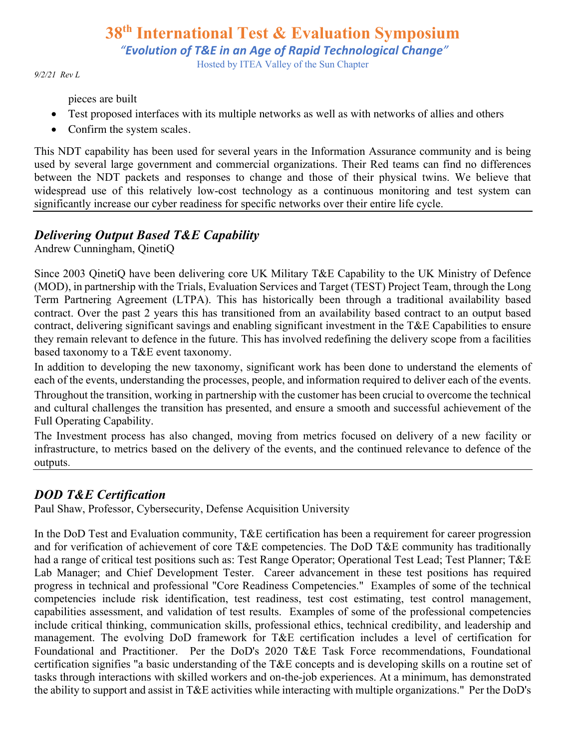# **38th International Test & Evaluation Symposium** *"Evolution of T&E in an Age of Rapid Technological Change"*

Hosted by ITEA Valley of the Sun Chapter

*9/2/21 Rev L*

pieces are built

- Test proposed interfaces with its multiple networks as well as with networks of allies and others
- Confirm the system scales.

This NDT capability has been used for several years in the Information Assurance community and is being used by several large government and commercial organizations. Their Red teams can find no differences between the NDT packets and responses to change and those of their physical twins. We believe that widespread use of this relatively low-cost technology as a continuous monitoring and test system can significantly increase our cyber readiness for specific networks over their entire life cycle.

# *Delivering Output Based T&E Capability*

Andrew Cunningham, QinetiQ

Since 2003 QinetiQ have been delivering core UK Military T&E Capability to the UK Ministry of Defence (MOD), in partnership with the Trials, Evaluation Services and Target (TEST) Project Team, through the Long Term Partnering Agreement (LTPA). This has historically been through a traditional availability based contract. Over the past 2 years this has transitioned from an availability based contract to an output based contract, delivering significant savings and enabling significant investment in the T&E Capabilities to ensure they remain relevant to defence in the future. This has involved redefining the delivery scope from a facilities based taxonomy to a T&E event taxonomy.

In addition to developing the new taxonomy, significant work has been done to understand the elements of each of the events, understanding the processes, people, and information required to deliver each of the events.

Throughout the transition, working in partnership with the customer has been crucial to overcome the technical and cultural challenges the transition has presented, and ensure a smooth and successful achievement of the Full Operating Capability.

The Investment process has also changed, moving from metrics focused on delivery of a new facility or infrastructure, to metrics based on the delivery of the events, and the continued relevance to defence of the outputs.

# *DOD T&E Certification*

Paul Shaw, Professor, Cybersecurity, Defense Acquisition University

In the DoD Test and Evaluation community, T&E certification has been a requirement for career progression and for verification of achievement of core T&E competencies. The DoD T&E community has traditionally had a range of critical test positions such as: Test Range Operator; Operational Test Lead; Test Planner; T&E Lab Manager; and Chief Development Tester. Career advancement in these test positions has required progress in technical and professional "Core Readiness Competencies." Examples of some of the technical competencies include risk identification, test readiness, test cost estimating, test control management, capabilities assessment, and validation of test results. Examples of some of the professional competencies include critical thinking, communication skills, professional ethics, technical credibility, and leadership and management. The evolving DoD framework for T&E certification includes a level of certification for Foundational and Practitioner. Per the DoD's 2020 T&E Task Force recommendations, Foundational certification signifies "a basic understanding of the T&E concepts and is developing skills on a routine set of tasks through interactions with skilled workers and on-the-job experiences. At a minimum, has demonstrated the ability to support and assist in T&E activities while interacting with multiple organizations." Per the DoD's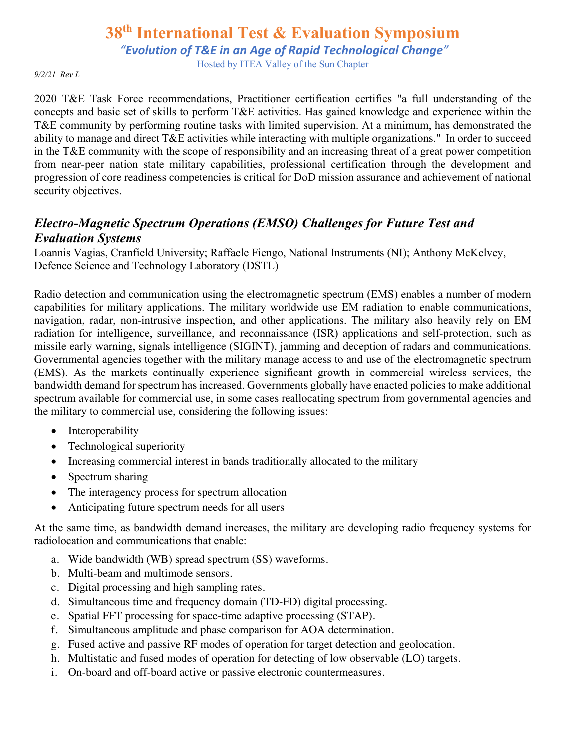*"Evolution of T&E in an Age of Rapid Technological Change"*

Hosted by ITEA Valley of the Sun Chapter

#### *9/2/21 Rev L*

2020 T&E Task Force recommendations, Practitioner certification certifies "a full understanding of the concepts and basic set of skills to perform T&E activities. Has gained knowledge and experience within the T&E community by performing routine tasks with limited supervision. At a minimum, has demonstrated the ability to manage and direct T&E activities while interacting with multiple organizations." In order to succeed in the T&E community with the scope of responsibility and an increasing threat of a great power competition from near-peer nation state military capabilities, professional certification through the development and progression of core readiness competencies is critical for DoD mission assurance and achievement of national security objectives.

### *Electro-Magnetic Spectrum Operations (EMSO) Challenges for Future Test and Evaluation Systems*

Loannis Vagias, Cranfield University; Raffaele Fiengo, National Instruments (NI); Anthony McKelvey, Defence Science and Technology Laboratory (DSTL)

Radio detection and communication using the electromagnetic spectrum (EMS) enables a number of modern capabilities for military applications. The military worldwide use EM radiation to enable communications, navigation, radar, non-intrusive inspection, and other applications. The military also heavily rely on EM radiation for intelligence, surveillance, and reconnaissance (ISR) applications and self-protection, such as missile early warning, signals intelligence (SIGINT), jamming and deception of radars and communications. Governmental agencies together with the military manage access to and use of the electromagnetic spectrum (EMS). As the markets continually experience significant growth in commercial wireless services, the bandwidth demand for spectrum has increased. Governments globally have enacted policies to make additional spectrum available for commercial use, in some cases reallocating spectrum from governmental agencies and the military to commercial use, considering the following issues:

- **Interoperability**
- Technological superiority
- Increasing commercial interest in bands traditionally allocated to the military
- Spectrum sharing
- The interagency process for spectrum allocation
- Anticipating future spectrum needs for all users

At the same time, as bandwidth demand increases, the military are developing radio frequency systems for radiolocation and communications that enable:

- a. Wide bandwidth (WB) spread spectrum (SS) waveforms.
- b. Multi-beam and multimode sensors.
- c. Digital processing and high sampling rates.
- d. Simultaneous time and frequency domain (TD-FD) digital processing.
- e. Spatial FFT processing for space-time adaptive processing (STAP).
- f. Simultaneous amplitude and phase comparison for AOA determination.
- g. Fused active and passive RF modes of operation for target detection and geolocation.
- h. Multistatic and fused modes of operation for detecting of low observable (LO) targets.
- i. On-board and off-board active or passive electronic countermeasures.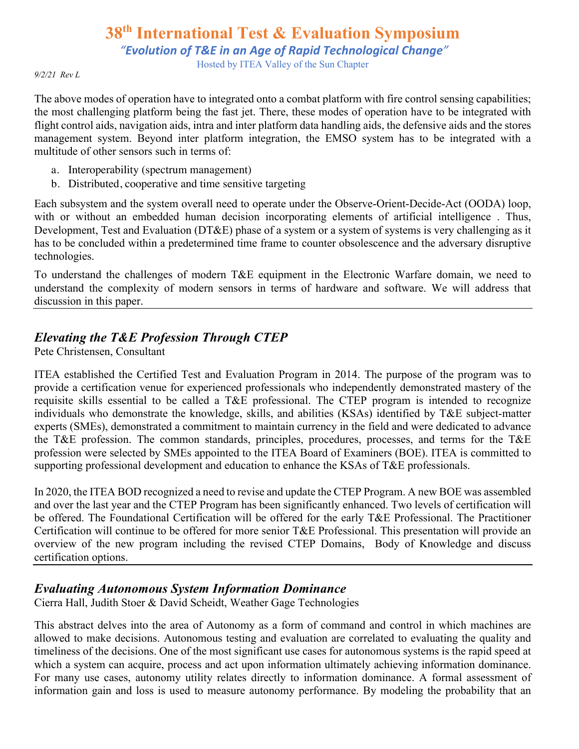*"Evolution of T&E in an Age of Rapid Technological Change"*

Hosted by ITEA Valley of the Sun Chapter

*9/2/21 Rev L*

The above modes of operation have to integrated onto a combat platform with fire control sensing capabilities; the most challenging platform being the fast jet. There, these modes of operation have to be integrated with flight control aids, navigation aids, intra and inter platform data handling aids, the defensive aids and the stores management system. Beyond inter platform integration, the EMSO system has to be integrated with a multitude of other sensors such in terms of:

- a. Interoperability (spectrum management)
- b. Distributed, cooperative and time sensitive targeting

Each subsystem and the system overall need to operate under the Observe-Orient-Decide-Act (OODA) loop, with or without an embedded human decision incorporating elements of artificial intelligence. Thus, Development, Test and Evaluation (DT&E) phase of a system or a system of systems is very challenging as it has to be concluded within a predetermined time frame to counter obsolescence and the adversary disruptive technologies.

To understand the challenges of modern T&E equipment in the Electronic Warfare domain, we need to understand the complexity of modern sensors in terms of hardware and software. We will address that discussion in this paper.

# *Elevating the T&E Profession Through CTEP*

Pete Christensen, Consultant

ITEA established the Certified Test and Evaluation Program in 2014. The purpose of the program was to provide a certification venue for experienced professionals who independently demonstrated mastery of the requisite skills essential to be called a T&E professional. The CTEP program is intended to recognize individuals who demonstrate the knowledge, skills, and abilities (KSAs) identified by T&E subject-matter experts (SMEs), demonstrated a commitment to maintain currency in the field and were dedicated to advance the T&E profession. The common standards, principles, procedures, processes, and terms for the T&E profession were selected by SMEs appointed to the ITEA Board of Examiners (BOE). ITEA is committed to supporting professional development and education to enhance the KSAs of T&E professionals.

In 2020, the ITEA BOD recognized a need to revise and update the CTEP Program. A new BOE was assembled and over the last year and the CTEP Program has been significantly enhanced. Two levels of certification will be offered. The Foundational Certification will be offered for the early T&E Professional. The Practitioner Certification will continue to be offered for more senior T&E Professional. This presentation will provide an overview of the new program including the revised CTEP Domains, Body of Knowledge and discuss certification options.

# *Evaluating Autonomous System Information Dominance*

Cierra Hall, Judith Stoer & David Scheidt, Weather Gage Technologies

This abstract delves into the area of Autonomy as a form of command and control in which machines are allowed to make decisions. Autonomous testing and evaluation are correlated to evaluating the quality and timeliness of the decisions. One of the most significant use cases for autonomous systems is the rapid speed at which a system can acquire, process and act upon information ultimately achieving information dominance. For many use cases, autonomy utility relates directly to information dominance. A formal assessment of information gain and loss is used to measure autonomy performance. By modeling the probability that an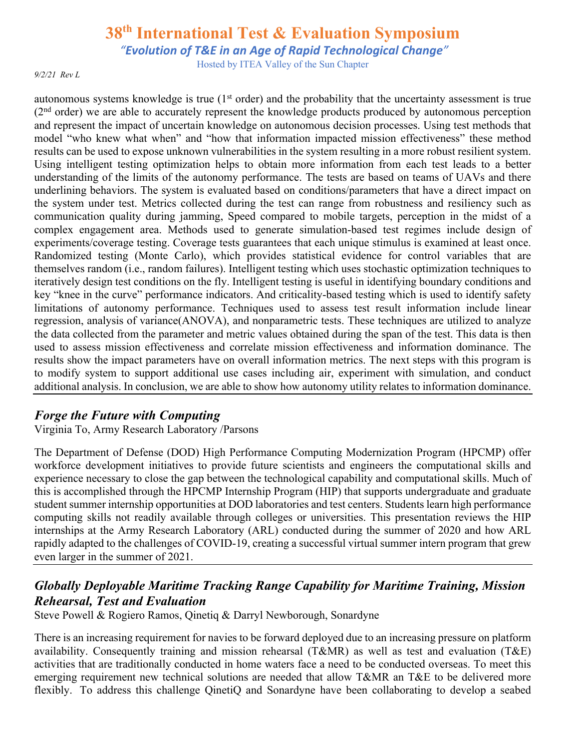*"Evolution of T&E in an Age of Rapid Technological Change"*

Hosted by ITEA Valley of the Sun Chapter

*9/2/21 Rev L*

autonomous systems knowledge is true  $(1<sup>st</sup> order)$  and the probability that the uncertainty assessment is true  $(2<sup>nd</sup> order)$  we are able to accurately represent the knowledge products produced by autonomous perception and represent the impact of uncertain knowledge on autonomous decision processes. Using test methods that model "who knew what when" and "how that information impacted mission effectiveness" these method results can be used to expose unknown vulnerabilities in the system resulting in a more robust resilient system. Using intelligent testing optimization helps to obtain more information from each test leads to a better understanding of the limits of the autonomy performance. The tests are based on teams of UAVs and there underlining behaviors. The system is evaluated based on conditions/parameters that have a direct impact on the system under test. Metrics collected during the test can range from robustness and resiliency such as communication quality during jamming, Speed compared to mobile targets, perception in the midst of a complex engagement area. Methods used to generate simulation-based test regimes include design of experiments/coverage testing. Coverage tests guarantees that each unique stimulus is examined at least once. Randomized testing (Monte Carlo), which provides statistical evidence for control variables that are themselves random (i.e., random failures). Intelligent testing which uses stochastic optimization techniques to iteratively design test conditions on the fly. Intelligent testing is useful in identifying boundary conditions and key "knee in the curve" performance indicators. And criticality-based testing which is used to identify safety limitations of autonomy performance. Techniques used to assess test result information include linear regression, analysis of variance(ANOVA), and nonparametric tests. These techniques are utilized to analyze the data collected from the parameter and metric values obtained during the span of the test. This data is then used to assess mission effectiveness and correlate mission effectiveness and information dominance. The results show the impact parameters have on overall information metrics. The next steps with this program is to modify system to support additional use cases including air, experiment with simulation, and conduct additional analysis. In conclusion, we are able to show how autonomy utility relates to information dominance.

# *Forge the Future with Computing*

Virginia To, Army Research Laboratory /Parsons

The Department of Defense (DOD) High Performance Computing Modernization Program (HPCMP) offer workforce development initiatives to provide future scientists and engineers the computational skills and experience necessary to close the gap between the technological capability and computational skills. Much of this is accomplished through the HPCMP Internship Program (HIP) that supports undergraduate and graduate student summer internship opportunities at DOD laboratories and test centers. Students learn high performance computing skills not readily available through colleges or universities. This presentation reviews the HIP internships at the Army Research Laboratory (ARL) conducted during the summer of 2020 and how ARL rapidly adapted to the challenges of COVID-19, creating a successful virtual summer intern program that grew even larger in the summer of 2021.

# *Globally Deployable Maritime Tracking Range Capability for Maritime Training, Mission Rehearsal, Test and Evaluation*

Steve Powell & Rogiero Ramos, Qinetiq & Darryl Newborough, Sonardyne

There is an increasing requirement for navies to be forward deployed due to an increasing pressure on platform availability. Consequently training and mission rehearsal (T&MR) as well as test and evaluation (T&E) activities that are traditionally conducted in home waters face a need to be conducted overseas. To meet this emerging requirement new technical solutions are needed that allow T&MR an T&E to be delivered more flexibly. To address this challenge QinetiQ and Sonardyne have been collaborating to develop a seabed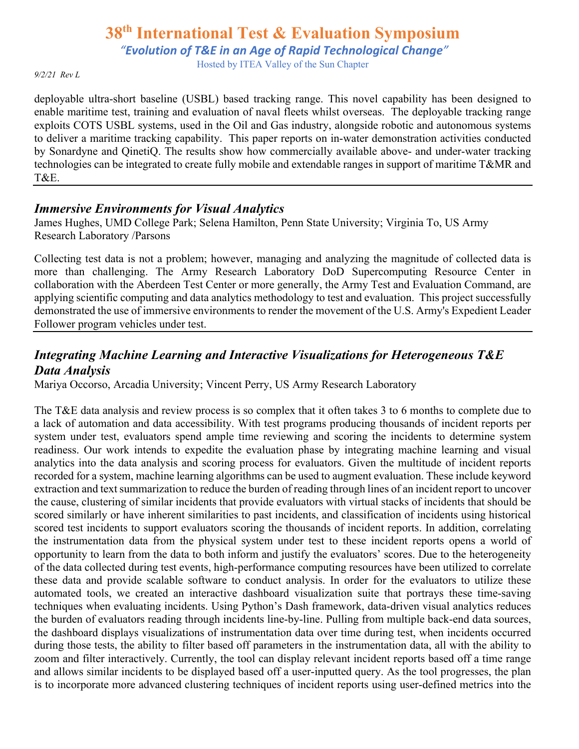*"Evolution of T&E in an Age of Rapid Technological Change"*

Hosted by ITEA Valley of the Sun Chapter

#### *9/2/21 Rev L*

deployable ultra-short baseline (USBL) based tracking range. This novel capability has been designed to enable maritime test, training and evaluation of naval fleets whilst overseas. The deployable tracking range exploits COTS USBL systems, used in the Oil and Gas industry, alongside robotic and autonomous systems to deliver a maritime tracking capability. This paper reports on in-water demonstration activities conducted by Sonardyne and QinetiQ. The results show how commercially available above- and under-water tracking technologies can be integrated to create fully mobile and extendable ranges in support of maritime T&MR and T&E.

#### *Immersive Environments for Visual Analytics*

James Hughes, UMD College Park; Selena Hamilton, Penn State University; Virginia To, US Army Research Laboratory /Parsons

Collecting test data is not a problem; however, managing and analyzing the magnitude of collected data is more than challenging. The Army Research Laboratory DoD Supercomputing Resource Center in collaboration with the Aberdeen Test Center or more generally, the Army Test and Evaluation Command, are applying scientific computing and data analytics methodology to test and evaluation. This project successfully demonstrated the use of immersive environments to render the movement of the U.S. Army's Expedient Leader Follower program vehicles under test.

# *Integrating Machine Learning and Interactive Visualizations for Heterogeneous T&E Data Analysis*

Mariya Occorso, Arcadia University; Vincent Perry, US Army Research Laboratory

The T&E data analysis and review process is so complex that it often takes 3 to 6 months to complete due to a lack of automation and data accessibility. With test programs producing thousands of incident reports per system under test, evaluators spend ample time reviewing and scoring the incidents to determine system readiness. Our work intends to expedite the evaluation phase by integrating machine learning and visual analytics into the data analysis and scoring process for evaluators. Given the multitude of incident reports recorded for a system, machine learning algorithms can be used to augment evaluation. These include keyword extraction and text summarization to reduce the burden of reading through lines of an incident report to uncover the cause, clustering of similar incidents that provide evaluators with virtual stacks of incidents that should be scored similarly or have inherent similarities to past incidents, and classification of incidents using historical scored test incidents to support evaluators scoring the thousands of incident reports. In addition, correlating the instrumentation data from the physical system under test to these incident reports opens a world of opportunity to learn from the data to both inform and justify the evaluators' scores. Due to the heterogeneity of the data collected during test events, high-performance computing resources have been utilized to correlate these data and provide scalable software to conduct analysis. In order for the evaluators to utilize these automated tools, we created an interactive dashboard visualization suite that portrays these time-saving techniques when evaluating incidents. Using Python's Dash framework, data-driven visual analytics reduces the burden of evaluators reading through incidents line-by-line. Pulling from multiple back-end data sources, the dashboard displays visualizations of instrumentation data over time during test, when incidents occurred during those tests, the ability to filter based off parameters in the instrumentation data, all with the ability to zoom and filter interactively. Currently, the tool can display relevant incident reports based off a time range and allows similar incidents to be displayed based off a user-inputted query. As the tool progresses, the plan is to incorporate more advanced clustering techniques of incident reports using user-defined metrics into the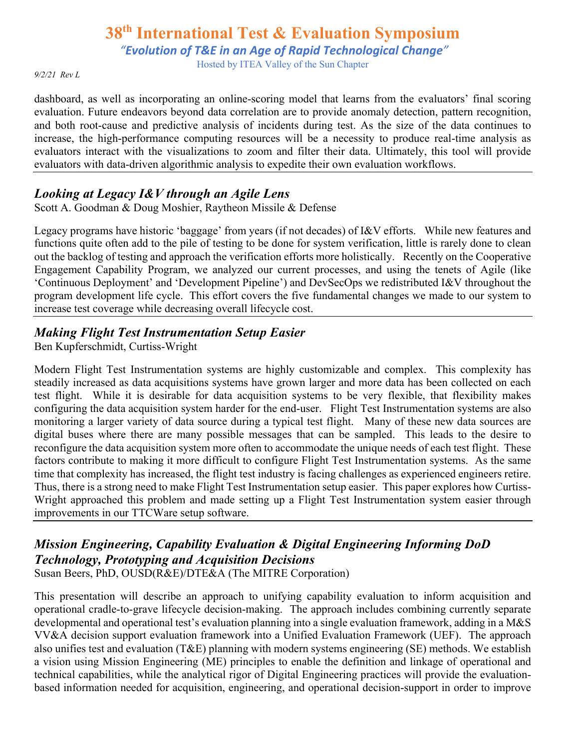*"Evolution of T&E in an Age of Rapid Technological Change"*

Hosted by ITEA Valley of the Sun Chapter

*9/2/21 Rev L*

dashboard, as well as incorporating an online-scoring model that learns from the evaluators' final scoring evaluation. Future endeavors beyond data correlation are to provide anomaly detection, pattern recognition, and both root-cause and predictive analysis of incidents during test. As the size of the data continues to increase, the high-performance computing resources will be a necessity to produce real-time analysis as evaluators interact with the visualizations to zoom and filter their data. Ultimately, this tool will provide evaluators with data-driven algorithmic analysis to expedite their own evaluation workflows.

# *Looking at Legacy I&V through an Agile Lens*

Scott A. Goodman & Doug Moshier, Raytheon Missile & Defense

Legacy programs have historic 'baggage' from years (if not decades) of I&V efforts. While new features and functions quite often add to the pile of testing to be done for system verification, little is rarely done to clean out the backlog of testing and approach the verification efforts more holistically. Recently on the Cooperative Engagement Capability Program, we analyzed our current processes, and using the tenets of Agile (like 'Continuous Deployment' and 'Development Pipeline') and DevSecOps we redistributed I&V throughout the program development life cycle. This effort covers the five fundamental changes we made to our system to increase test coverage while decreasing overall lifecycle cost.

# *Making Flight Test Instrumentation Setup Easier*

Ben Kupferschmidt, Curtiss-Wright

Modern Flight Test Instrumentation systems are highly customizable and complex. This complexity has steadily increased as data acquisitions systems have grown larger and more data has been collected on each test flight. While it is desirable for data acquisition systems to be very flexible, that flexibility makes configuring the data acquisition system harder for the end-user. Flight Test Instrumentation systems are also monitoring a larger variety of data source during a typical test flight. Many of these new data sources are digital buses where there are many possible messages that can be sampled. This leads to the desire to reconfigure the data acquisition system more often to accommodate the unique needs of each test flight. These factors contribute to making it more difficult to configure Flight Test Instrumentation systems. As the same time that complexity has increased, the flight test industry is facing challenges as experienced engineers retire. Thus, there is a strong need to make Flight Test Instrumentation setup easier. This paper explores how Curtiss-Wright approached this problem and made setting up a Flight Test Instrumentation system easier through improvements in our TTCWare setup software.

# *Mission Engineering, Capability Evaluation & Digital Engineering Informing DoD Technology, Prototyping and Acquisition Decisions*

Susan Beers, PhD, OUSD(R&E)/DTE&A (The MITRE Corporation)

This presentation will describe an approach to unifying capability evaluation to inform acquisition and operational cradle-to-grave lifecycle decision-making. The approach includes combining currently separate developmental and operational test's evaluation planning into a single evaluation framework, adding in a M&S VV&A decision support evaluation framework into a Unified Evaluation Framework (UEF). The approach also unifies test and evaluation (T&E) planning with modern systems engineering (SE) methods. We establish a vision using Mission Engineering (ME) principles to enable the definition and linkage of operational and technical capabilities, while the analytical rigor of Digital Engineering practices will provide the evaluationbased information needed for acquisition, engineering, and operational decision-support in order to improve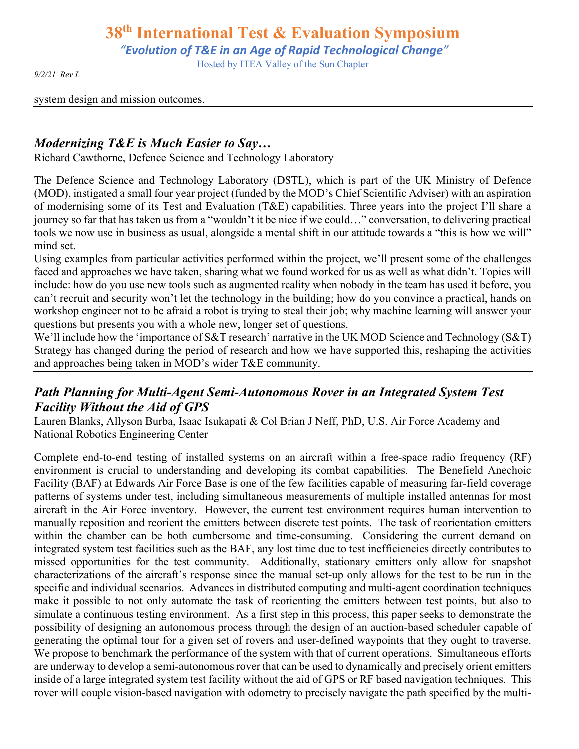*"Evolution of T&E in an Age of Rapid Technological Change"*

Hosted by ITEA Valley of the Sun Chapter

*9/2/21 Rev L*

system design and mission outcomes.

### *Modernizing T&E is Much Easier to Say…*

Richard Cawthorne, Defence Science and Technology Laboratory

The Defence Science and Technology Laboratory (DSTL), which is part of the UK Ministry of Defence (MOD), instigated a small four year project (funded by the MOD's Chief Scientific Adviser) with an aspiration of modernising some of its Test and Evaluation (T&E) capabilities. Three years into the project I'll share a journey so far that has taken us from a "wouldn't it be nice if we could…" conversation, to delivering practical tools we now use in business as usual, alongside a mental shift in our attitude towards a "this is how we will" mind set.

Using examples from particular activities performed within the project, we'll present some of the challenges faced and approaches we have taken, sharing what we found worked for us as well as what didn't. Topics will include: how do you use new tools such as augmented reality when nobody in the team has used it before, you can't recruit and security won't let the technology in the building; how do you convince a practical, hands on workshop engineer not to be afraid a robot is trying to steal their job; why machine learning will answer your questions but presents you with a whole new, longer set of questions.

We'll include how the 'importance of S&T research' narrative in the UK MOD Science and Technology (S&T) Strategy has changed during the period of research and how we have supported this, reshaping the activities and approaches being taken in MOD's wider T&E community.

# *Path Planning for Multi-Agent Semi-Autonomous Rover in an Integrated System Test Facility Without the Aid of GPS*

Lauren Blanks, Allyson Burba, Isaac Isukapati & Col Brian J Neff, PhD, U.S. Air Force Academy and National Robotics Engineering Center

Complete end-to-end testing of installed systems on an aircraft within a free-space radio frequency (RF) environment is crucial to understanding and developing its combat capabilities. The Benefield Anechoic Facility (BAF) at Edwards Air Force Base is one of the few facilities capable of measuring far-field coverage patterns of systems under test, including simultaneous measurements of multiple installed antennas for most aircraft in the Air Force inventory. However, the current test environment requires human intervention to manually reposition and reorient the emitters between discrete test points. The task of reorientation emitters within the chamber can be both cumbersome and time-consuming. Considering the current demand on integrated system test facilities such as the BAF, any lost time due to test inefficiencies directly contributes to missed opportunities for the test community. Additionally, stationary emitters only allow for snapshot characterizations of the aircraft's response since the manual set-up only allows for the test to be run in the specific and individual scenarios. Advances in distributed computing and multi-agent coordination techniques make it possible to not only automate the task of reorienting the emitters between test points, but also to simulate a continuous testing environment. As a first step in this process, this paper seeks to demonstrate the possibility of designing an autonomous process through the design of an auction-based scheduler capable of generating the optimal tour for a given set of rovers and user-defined waypoints that they ought to traverse. We propose to benchmark the performance of the system with that of current operations. Simultaneous efforts are underway to develop a semi-autonomous rover that can be used to dynamically and precisely orient emitters inside of a large integrated system test facility without the aid of GPS or RF based navigation techniques. This rover will couple vision-based navigation with odometry to precisely navigate the path specified by the multi-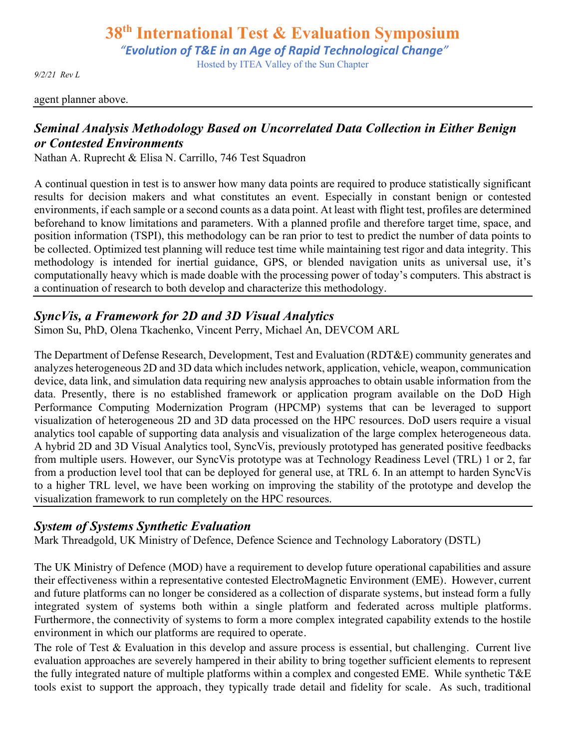*"Evolution of T&E in an Age of Rapid Technological Change"*

Hosted by ITEA Valley of the Sun Chapter

*9/2/21 Rev L*

#### agent planner above.

# *Seminal Analysis Methodology Based on Uncorrelated Data Collection in Either Benign or Contested Environments*

Nathan A. Ruprecht & Elisa N. Carrillo, 746 Test Squadron

A continual question in test is to answer how many data points are required to produce statistically significant results for decision makers and what constitutes an event. Especially in constant benign or contested environments, if each sample or a second counts as a data point. At least with flight test, profiles are determined beforehand to know limitations and parameters. With a planned profile and therefore target time, space, and position information (TSPI), this methodology can be ran prior to test to predict the number of data points to be collected. Optimized test planning will reduce test time while maintaining test rigor and data integrity. This methodology is intended for inertial guidance, GPS, or blended navigation units as universal use, it's computationally heavy which is made doable with the processing power of today's computers. This abstract is a continuation of research to both develop and characterize this methodology.

### *SyncVis, a Framework for 2D and 3D Visual Analytics*

Simon Su, PhD, Olena Tkachenko, Vincent Perry, Michael An, DEVCOM ARL

The Department of Defense Research, Development, Test and Evaluation (RDT&E) community generates and analyzes heterogeneous 2D and 3D data which includes network, application, vehicle, weapon, communication device, data link, and simulation data requiring new analysis approaches to obtain usable information from the data. Presently, there is no established framework or application program available on the DoD High Performance Computing Modernization Program (HPCMP) systems that can be leveraged to support visualization of heterogeneous 2D and 3D data processed on the HPC resources. DoD users require a visual analytics tool capable of supporting data analysis and visualization of the large complex heterogeneous data. A hybrid 2D and 3D Visual Analytics tool, SyncVis, previously prototyped has generated positive feedbacks from multiple users. However, our SyncVis prototype was at Technology Readiness Level (TRL) 1 or 2, far from a production level tool that can be deployed for general use, at TRL 6. In an attempt to harden SyncVis to a higher TRL level, we have been working on improving the stability of the prototype and develop the visualization framework to run completely on the HPC resources.

### *System of Systems Synthetic Evaluation*

Mark Threadgold, UK Ministry of Defence, Defence Science and Technology Laboratory (DSTL)

The UK Ministry of Defence (MOD) have a requirement to develop future operational capabilities and assure their effectiveness within a representative contested ElectroMagnetic Environment (EME). However, current and future platforms can no longer be considered as a collection of disparate systems, but instead form a fully integrated system of systems both within a single platform and federated across multiple platforms. Furthermore, the connectivity of systems to form a more complex integrated capability extends to the hostile environment in which our platforms are required to operate.

The role of Test & Evaluation in this develop and assure process is essential, but challenging. Current live evaluation approaches are severely hampered in their ability to bring together sufficient elements to represent the fully integrated nature of multiple platforms within a complex and congested EME. While synthetic T&E tools exist to support the approach, they typically trade detail and fidelity for scale. As such, traditional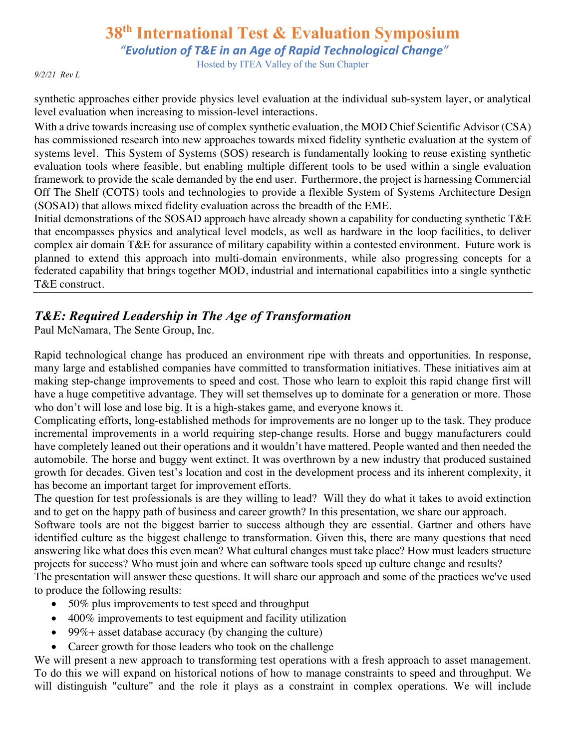*"Evolution of T&E in an Age of Rapid Technological Change"*

Hosted by ITEA Valley of the Sun Chapter

*9/2/21 Rev L*

synthetic approaches either provide physics level evaluation at the individual sub-system layer, or analytical level evaluation when increasing to mission-level interactions.

With a drive towards increasing use of complex synthetic evaluation, the MOD Chief Scientific Advisor (CSA) has commissioned research into new approaches towards mixed fidelity synthetic evaluation at the system of systems level. This System of Systems (SOS) research is fundamentally looking to reuse existing synthetic evaluation tools where feasible, but enabling multiple different tools to be used within a single evaluation framework to provide the scale demanded by the end user. Furthermore, the project is harnessing Commercial Off The Shelf (COTS) tools and technologies to provide a flexible System of Systems Architecture Design (SOSAD) that allows mixed fidelity evaluation across the breadth of the EME.

Initial demonstrations of the SOSAD approach have already shown a capability for conducting synthetic T&E that encompasses physics and analytical level models, as well as hardware in the loop facilities, to deliver complex air domain T&E for assurance of military capability within a contested environment. Future work is planned to extend this approach into multi-domain environments, while also progressing concepts for a federated capability that brings together MOD, industrial and international capabilities into a single synthetic T&E construct.

# *T&E: Required Leadership in The Age of Transformation*

Paul McNamara, The Sente Group, Inc.

Rapid technological change has produced an environment ripe with threats and opportunities. In response, many large and established companies have committed to transformation initiatives. These initiatives aim at making step-change improvements to speed and cost. Those who learn to exploit this rapid change first will have a huge competitive advantage. They will set themselves up to dominate for a generation or more. Those who don't will lose and lose big. It is a high-stakes game, and everyone knows it.

Complicating efforts, long-established methods for improvements are no longer up to the task. They produce incremental improvements in a world requiring step-change results. Horse and buggy manufacturers could have completely leaned out their operations and it wouldn't have mattered. People wanted and then needed the automobile. The horse and buggy went extinct. It was overthrown by a new industry that produced sustained growth for decades. Given test's location and cost in the development process and its inherent complexity, it has become an important target for improvement efforts.

The question for test professionals is are they willing to lead? Will they do what it takes to avoid extinction and to get on the happy path of business and career growth? In this presentation, we share our approach.

Software tools are not the biggest barrier to success although they are essential. Gartner and others have identified culture as the biggest challenge to transformation. Given this, there are many questions that need answering like what does this even mean? What cultural changes must take place? How must leaders structure projects for success? Who must join and where can software tools speed up culture change and results?

The presentation will answer these questions. It will share our approach and some of the practices we've used to produce the following results:

- 50% plus improvements to test speed and throughput
- 400% improvements to test equipment and facility utilization
- 99%+ asset database accuracy (by changing the culture)
- Career growth for those leaders who took on the challenge

We will present a new approach to transforming test operations with a fresh approach to asset management. To do this we will expand on historical notions of how to manage constraints to speed and throughput. We will distinguish "culture" and the role it plays as a constraint in complex operations. We will include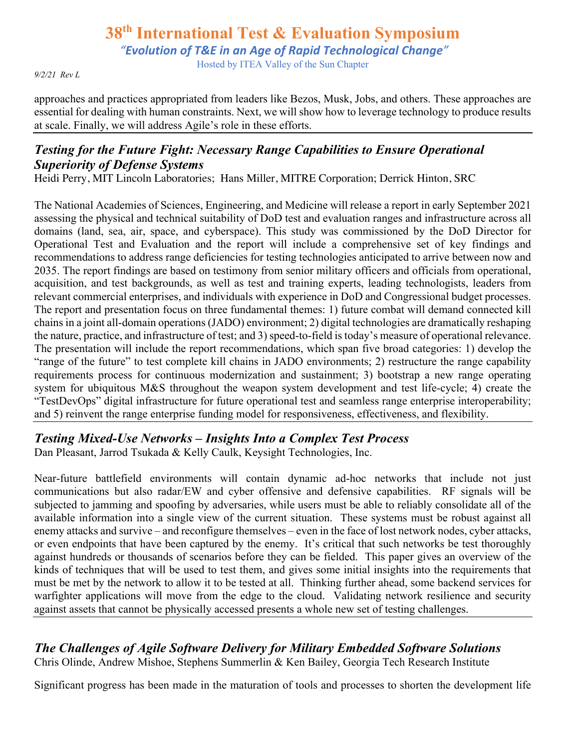# **38th International Test & Evaluation Symposium** *"Evolution of T&E in an Age of Rapid Technological Change"*

Hosted by ITEA Valley of the Sun Chapter

*9/2/21 Rev L*

approaches and practices appropriated from leaders like Bezos, Musk, Jobs, and others. These approaches are essential for dealing with human constraints. Next, we will show how to leverage technology to produce results at scale. Finally, we will address Agile's role in these efforts.

# *Testing for the Future Fight: Necessary Range Capabilities to Ensure Operational Superiority of Defense Systems*

Heidi Perry, MIT Lincoln Laboratories; Hans Miller, MITRE Corporation; Derrick Hinton, SRC

The National Academies of Sciences, Engineering, and Medicine will release a report in early September 2021 assessing the physical and technical suitability of DoD test and evaluation ranges and infrastructure across all domains (land, sea, air, space, and cyberspace). This study was commissioned by the DoD Director for Operational Test and Evaluation and the report will include a comprehensive set of key findings and recommendations to address range deficiencies for testing technologies anticipated to arrive between now and 2035. The report findings are based on testimony from senior military officers and officials from operational, acquisition, and test backgrounds, as well as test and training experts, leading technologists, leaders from relevant commercial enterprises, and individuals with experience in DoD and Congressional budget processes. The report and presentation focus on three fundamental themes: 1) future combat will demand connected kill chains in a joint all-domain operations (JADO) environment; 2) digital technologies are dramatically reshaping the nature, practice, and infrastructure of test; and 3) speed-to-field is today's measure of operational relevance. The presentation will include the report recommendations, which span five broad categories: 1) develop the "range of the future" to test complete kill chains in JADO environments; 2) restructure the range capability requirements process for continuous modernization and sustainment; 3) bootstrap a new range operating system for ubiquitous M&S throughout the weapon system development and test life-cycle; 4) create the "TestDevOps" digital infrastructure for future operational test and seamless range enterprise interoperability; and 5) reinvent the range enterprise funding model for responsiveness, effectiveness, and flexibility.

# *Testing Mixed-Use Networks – Insights Into a Complex Test Process*

Dan Pleasant, Jarrod Tsukada & Kelly Caulk, Keysight Technologies, Inc.

Near-future battlefield environments will contain dynamic ad-hoc networks that include not just communications but also radar/EW and cyber offensive and defensive capabilities. RF signals will be subjected to jamming and spoofing by adversaries, while users must be able to reliably consolidate all of the available information into a single view of the current situation. These systems must be robust against all enemy attacks and survive – and reconfigure themselves – even in the face of lost network nodes, cyber attacks, or even endpoints that have been captured by the enemy. It's critical that such networks be test thoroughly against hundreds or thousands of scenarios before they can be fielded. This paper gives an overview of the kinds of techniques that will be used to test them, and gives some initial insights into the requirements that must be met by the network to allow it to be tested at all. Thinking further ahead, some backend services for warfighter applications will move from the edge to the cloud. Validating network resilience and security against assets that cannot be physically accessed presents a whole new set of testing challenges.

# *The Challenges of Agile Software Delivery for Military Embedded Software Solutions*

Chris Olinde, Andrew Mishoe, Stephens Summerlin & Ken Bailey, Georgia Tech Research Institute

Significant progress has been made in the maturation of tools and processes to shorten the development life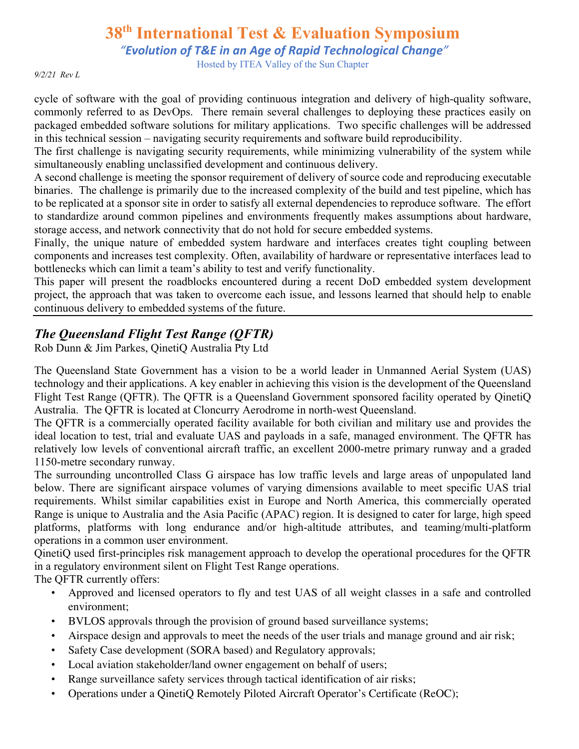*"Evolution of T&E in an Age of Rapid Technological Change"*

Hosted by ITEA Valley of the Sun Chapter

*9/2/21 Rev L*

cycle of software with the goal of providing continuous integration and delivery of high-quality software, commonly referred to as DevOps. There remain several challenges to deploying these practices easily on packaged embedded software solutions for military applications. Two specific challenges will be addressed in this technical session – navigating security requirements and software build reproducibility.

The first challenge is navigating security requirements, while minimizing vulnerability of the system while simultaneously enabling unclassified development and continuous delivery.

A second challenge is meeting the sponsor requirement of delivery of source code and reproducing executable binaries. The challenge is primarily due to the increased complexity of the build and test pipeline, which has to be replicated at a sponsor site in order to satisfy all external dependencies to reproduce software. The effort to standardize around common pipelines and environments frequently makes assumptions about hardware, storage access, and network connectivity that do not hold for secure embedded systems.

Finally, the unique nature of embedded system hardware and interfaces creates tight coupling between components and increases test complexity. Often, availability of hardware or representative interfaces lead to bottlenecks which can limit a team's ability to test and verify functionality.

This paper will present the roadblocks encountered during a recent DoD embedded system development project, the approach that was taken to overcome each issue, and lessons learned that should help to enable continuous delivery to embedded systems of the future.

# *The Queensland Flight Test Range (QFTR)*

Rob Dunn & Jim Parkes, QinetiQ Australia Pty Ltd

The Queensland State Government has a vision to be a world leader in Unmanned Aerial System (UAS) technology and their applications. A key enabler in achieving this vision is the development of the Queensland Flight Test Range (QFTR). The QFTR is a Queensland Government sponsored facility operated by QinetiQ Australia. The QFTR is located at Cloncurry Aerodrome in north-west Queensland.

The QFTR is a commercially operated facility available for both civilian and military use and provides the ideal location to test, trial and evaluate UAS and payloads in a safe, managed environment. The QFTR has relatively low levels of conventional aircraft traffic, an excellent 2000-metre primary runway and a graded 1150-metre secondary runway.

The surrounding uncontrolled Class G airspace has low traffic levels and large areas of unpopulated land below. There are significant airspace volumes of varying dimensions available to meet specific UAS trial requirements. Whilst similar capabilities exist in Europe and North America, this commercially operated Range is unique to Australia and the Asia Pacific (APAC) region. It is designed to cater for large, high speed platforms, platforms with long endurance and/or high-altitude attributes, and teaming/multi-platform operations in a common user environment.

QinetiQ used first-principles risk management approach to develop the operational procedures for the QFTR in a regulatory environment silent on Flight Test Range operations.

The QFTR currently offers:

- Approved and licensed operators to fly and test UAS of all weight classes in a safe and controlled environment;
- BVLOS approvals through the provision of ground based surveillance systems;
- Airspace design and approvals to meet the needs of the user trials and manage ground and air risk;
- Safety Case development (SORA based) and Regulatory approvals;
- Local aviation stakeholder/land owner engagement on behalf of users;
- Range surveillance safety services through tactical identification of air risks;
- Operations under a QinetiQ Remotely Piloted Aircraft Operator's Certificate (ReOC);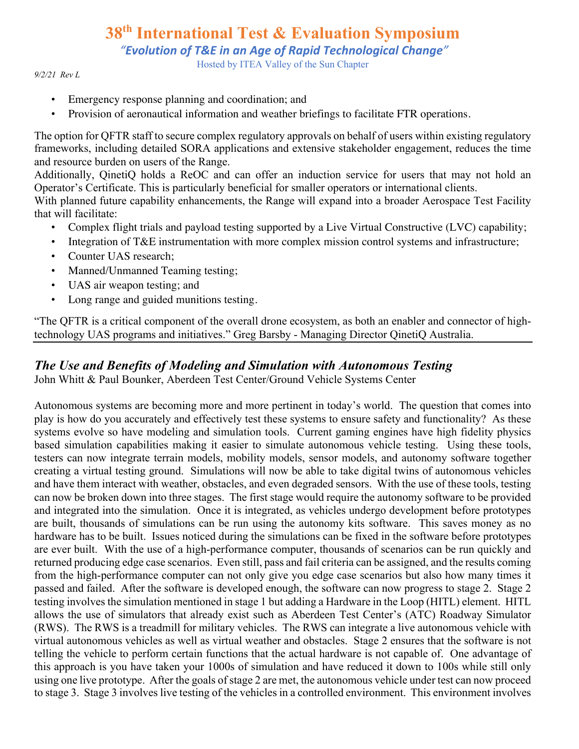*"Evolution of T&E in an Age of Rapid Technological Change"*

Hosted by ITEA Valley of the Sun Chapter

#### *9/2/21 Rev L*

- Emergency response planning and coordination; and
- Provision of aeronautical information and weather briefings to facilitate FTR operations.

The option for QFTR staff to secure complex regulatory approvals on behalf of users within existing regulatory frameworks, including detailed SORA applications and extensive stakeholder engagement, reduces the time and resource burden on users of the Range.

Additionally, QinetiQ holds a ReOC and can offer an induction service for users that may not hold an Operator's Certificate. This is particularly beneficial for smaller operators or international clients.

With planned future capability enhancements, the Range will expand into a broader Aerospace Test Facility that will facilitate:

- Complex flight trials and payload testing supported by a Live Virtual Constructive (LVC) capability;
- Integration of T&E instrumentation with more complex mission control systems and infrastructure;
- Counter UAS research:
- Manned/Unmanned Teaming testing;
- UAS air weapon testing; and
- Long range and guided munitions testing.

"The QFTR is a critical component of the overall drone ecosystem, as both an enabler and connector of hightechnology UAS programs and initiatives." Greg Barsby - Managing Director QinetiQ Australia.

### *The Use and Benefits of Modeling and Simulation with Autonomous Testing*

John Whitt & Paul Bounker, Aberdeen Test Center/Ground Vehicle Systems Center

Autonomous systems are becoming more and more pertinent in today's world. The question that comes into play is how do you accurately and effectively test these systems to ensure safety and functionality? As these systems evolve so have modeling and simulation tools. Current gaming engines have high fidelity physics based simulation capabilities making it easier to simulate autonomous vehicle testing. Using these tools, testers can now integrate terrain models, mobility models, sensor models, and autonomy software together creating a virtual testing ground. Simulations will now be able to take digital twins of autonomous vehicles and have them interact with weather, obstacles, and even degraded sensors. With the use of these tools, testing can now be broken down into three stages. The first stage would require the autonomy software to be provided and integrated into the simulation. Once it is integrated, as vehicles undergo development before prototypes are built, thousands of simulations can be run using the autonomy kits software. This saves money as no hardware has to be built. Issues noticed during the simulations can be fixed in the software before prototypes are ever built. With the use of a high-performance computer, thousands of scenarios can be run quickly and returned producing edge case scenarios. Even still, pass and fail criteria can be assigned, and the results coming from the high-performance computer can not only give you edge case scenarios but also how many times it passed and failed. After the software is developed enough, the software can now progress to stage 2. Stage 2 testing involves the simulation mentioned in stage 1 but adding a Hardware in the Loop (HITL) element. HITL allows the use of simulators that already exist such as Aberdeen Test Center's (ATC) Roadway Simulator (RWS). The RWS is a treadmill for military vehicles. The RWS can integrate a live autonomous vehicle with virtual autonomous vehicles as well as virtual weather and obstacles. Stage 2 ensures that the software is not telling the vehicle to perform certain functions that the actual hardware is not capable of. One advantage of this approach is you have taken your 1000s of simulation and have reduced it down to 100s while still only using one live prototype. After the goals of stage 2 are met, the autonomous vehicle under test can now proceed to stage 3. Stage 3 involves live testing of the vehicles in a controlled environment. This environment involves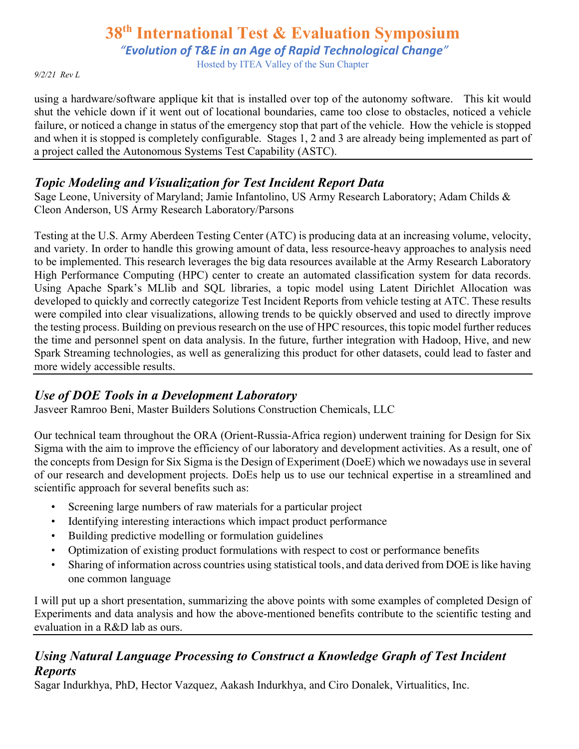*"Evolution of T&E in an Age of Rapid Technological Change"*

Hosted by ITEA Valley of the Sun Chapter

*9/2/21 Rev L*

using a hardware/software applique kit that is installed over top of the autonomy software. This kit would shut the vehicle down if it went out of locational boundaries, came too close to obstacles, noticed a vehicle failure, or noticed a change in status of the emergency stop that part of the vehicle. How the vehicle is stopped and when it is stopped is completely configurable. Stages 1, 2 and 3 are already being implemented as part of a project called the Autonomous Systems Test Capability (ASTC).

# *Topic Modeling and Visualization for Test Incident Report Data*

Sage Leone, University of Maryland; Jamie Infantolino, US Army Research Laboratory; Adam Childs & Cleon Anderson, US Army Research Laboratory/Parsons

Testing at the U.S. Army Aberdeen Testing Center (ATC) is producing data at an increasing volume, velocity, and variety. In order to handle this growing amount of data, less resource-heavy approaches to analysis need to be implemented. This research leverages the big data resources available at the Army Research Laboratory High Performance Computing (HPC) center to create an automated classification system for data records. Using Apache Spark's MLlib and SQL libraries, a topic model using Latent Dirichlet Allocation was developed to quickly and correctly categorize Test Incident Reports from vehicle testing at ATC. These results were compiled into clear visualizations, allowing trends to be quickly observed and used to directly improve the testing process. Building on previous research on the use of HPC resources, this topic model further reduces the time and personnel spent on data analysis. In the future, further integration with Hadoop, Hive, and new Spark Streaming technologies, as well as generalizing this product for other datasets, could lead to faster and more widely accessible results.

### *Use of DOE Tools in a Development Laboratory*

Jasveer Ramroo Beni, Master Builders Solutions Construction Chemicals, LLC

Our technical team throughout the ORA (Orient-Russia-Africa region) underwent training for Design for Six Sigma with the aim to improve the efficiency of our laboratory and development activities. As a result, one of the concepts from Design for Six Sigma is the Design of Experiment (DoeE) which we nowadays use in several of our research and development projects. DoEs help us to use our technical expertise in a streamlined and scientific approach for several benefits such as:

- Screening large numbers of raw materials for a particular project
- Identifying interesting interactions which impact product performance
- Building predictive modelling or formulation guidelines
- Optimization of existing product formulations with respect to cost or performance benefits
- Sharing of information across countries using statistical tools, and data derived from DOE is like having one common language

I will put up a short presentation, summarizing the above points with some examples of completed Design of Experiments and data analysis and how the above-mentioned benefits contribute to the scientific testing and evaluation in a R&D lab as ours.

# *Using Natural Language Processing to Construct a Knowledge Graph of Test Incident Reports*

Sagar Indurkhya, PhD, Hector Vazquez, Aakash Indurkhya, and Ciro Donalek, Virtualitics, Inc.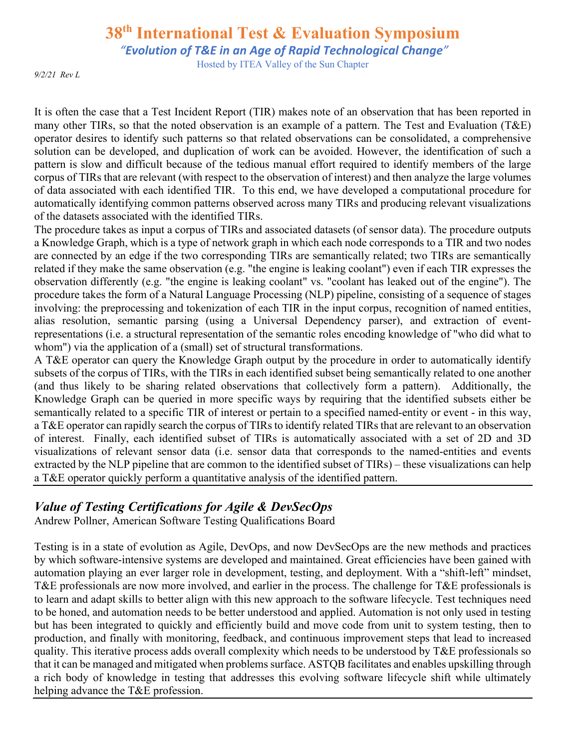*"Evolution of T&E in an Age of Rapid Technological Change"*

Hosted by ITEA Valley of the Sun Chapter

*9/2/21 Rev L*

It is often the case that a Test Incident Report (TIR) makes note of an observation that has been reported in many other TIRs, so that the noted observation is an example of a pattern. The Test and Evaluation (T&E) operator desires to identify such patterns so that related observations can be consolidated, a comprehensive solution can be developed, and duplication of work can be avoided. However, the identification of such a pattern is slow and difficult because of the tedious manual effort required to identify members of the large corpus of TIRs that are relevant (with respect to the observation of interest) and then analyze the large volumes of data associated with each identified TIR. To this end, we have developed a computational procedure for automatically identifying common patterns observed across many TIRs and producing relevant visualizations of the datasets associated with the identified TIRs.

The procedure takes as input a corpus of TIRs and associated datasets (of sensor data). The procedure outputs a Knowledge Graph, which is a type of network graph in which each node corresponds to a TIR and two nodes are connected by an edge if the two corresponding TIRs are semantically related; two TIRs are semantically related if they make the same observation (e.g. "the engine is leaking coolant") even if each TIR expresses the observation differently (e.g. "the engine is leaking coolant" vs. "coolant has leaked out of the engine"). The procedure takes the form of a Natural Language Processing (NLP) pipeline, consisting of a sequence of stages involving: the preprocessing and tokenization of each TIR in the input corpus, recognition of named entities, alias resolution, semantic parsing (using a Universal Dependency parser), and extraction of eventrepresentations (i.e. a structural representation of the semantic roles encoding knowledge of "who did what to whom") via the application of a (small) set of structural transformations.

A T&E operator can query the Knowledge Graph output by the procedure in order to automatically identify subsets of the corpus of TIRs, with the TIRs in each identified subset being semantically related to one another (and thus likely to be sharing related observations that collectively form a pattern). Additionally, the Knowledge Graph can be queried in more specific ways by requiring that the identified subsets either be semantically related to a specific TIR of interest or pertain to a specified named-entity or event - in this way, a T&E operator can rapidly search the corpus of TIRs to identify related TIRs that are relevant to an observation of interest. Finally, each identified subset of TIRs is automatically associated with a set of 2D and 3D visualizations of relevant sensor data (i.e. sensor data that corresponds to the named-entities and events extracted by the NLP pipeline that are common to the identified subset of TIRs) – these visualizations can help a T&E operator quickly perform a quantitative analysis of the identified pattern.

# *Value of Testing Certifications for Agile & DevSecOps*

Andrew Pollner, American Software Testing Qualifications Board

Testing is in a state of evolution as Agile, DevOps, and now DevSecOps are the new methods and practices by which software-intensive systems are developed and maintained. Great efficiencies have been gained with automation playing an ever larger role in development, testing, and deployment. With a "shift-left" mindset, T&E professionals are now more involved, and earlier in the process. The challenge for T&E professionals is to learn and adapt skills to better align with this new approach to the software lifecycle. Test techniques need to be honed, and automation needs to be better understood and applied. Automation is not only used in testing but has been integrated to quickly and efficiently build and move code from unit to system testing, then to production, and finally with monitoring, feedback, and continuous improvement steps that lead to increased quality. This iterative process adds overall complexity which needs to be understood by T&E professionals so that it can be managed and mitigated when problems surface. ASTQB facilitates and enables upskilling through a rich body of knowledge in testing that addresses this evolving software lifecycle shift while ultimately helping advance the T&E profession.